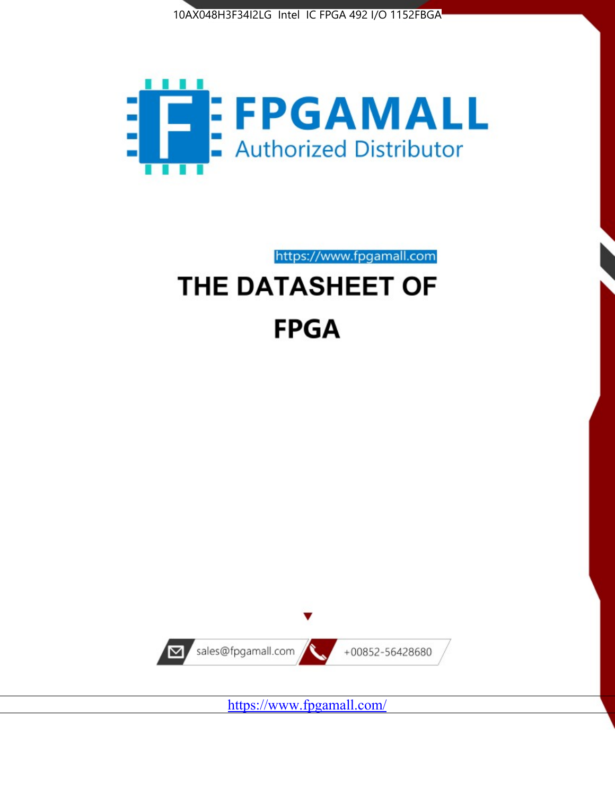



https://www.fpgamall.com

# THE DATASHEET OF **FPGA**



<https://www.fpgamall.com/>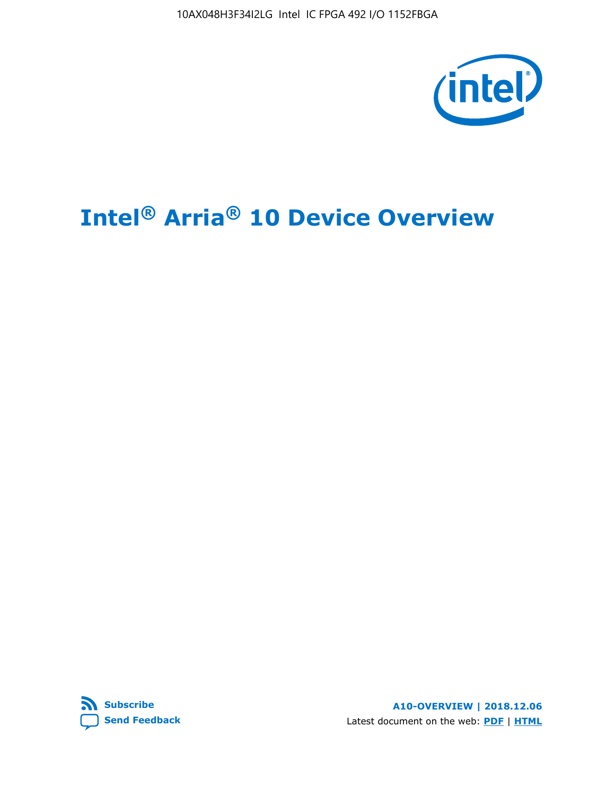

# **Intel® Arria® 10 Device Overview**



**A10-OVERVIEW | 2018.12.06** Latest document on the web: **[PDF](https://www.intel.com/content/dam/www/programmable/us/en/pdfs/literature/hb/arria-10/a10_overview.pdf)** | **[HTML](https://www.intel.com/content/www/us/en/programmable/documentation/sam1403480274650.html)**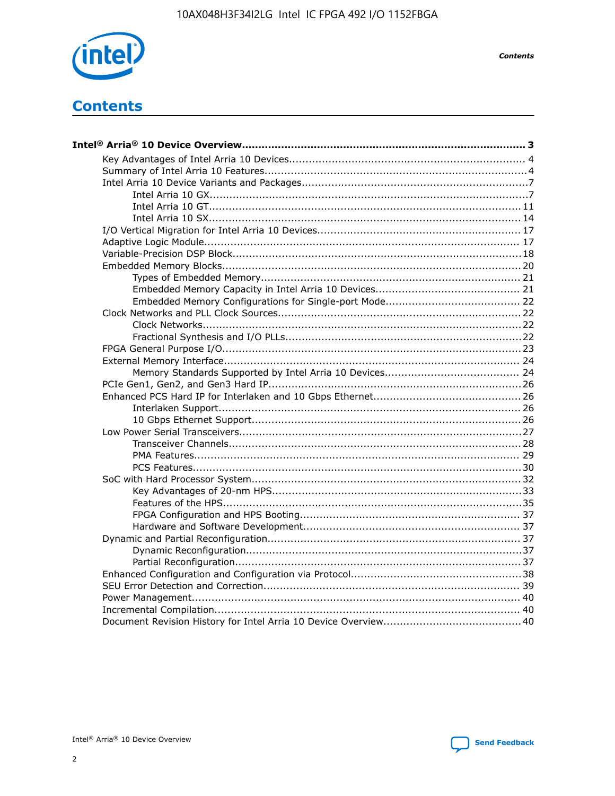

**Contents** 

# **Contents**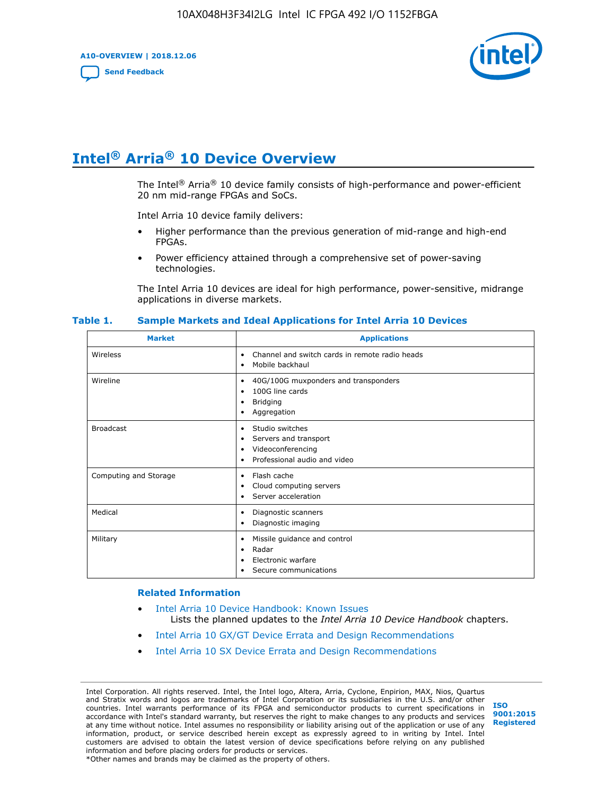**A10-OVERVIEW | 2018.12.06**

**[Send Feedback](mailto:FPGAtechdocfeedback@intel.com?subject=Feedback%20on%20Intel%20Arria%2010%20Device%20Overview%20(A10-OVERVIEW%202018.12.06)&body=We%20appreciate%20your%20feedback.%20In%20your%20comments,%20also%20specify%20the%20page%20number%20or%20paragraph.%20Thank%20you.)**



# **Intel® Arria® 10 Device Overview**

The Intel<sup>®</sup> Arria<sup>®</sup> 10 device family consists of high-performance and power-efficient 20 nm mid-range FPGAs and SoCs.

Intel Arria 10 device family delivers:

- Higher performance than the previous generation of mid-range and high-end FPGAs.
- Power efficiency attained through a comprehensive set of power-saving technologies.

The Intel Arria 10 devices are ideal for high performance, power-sensitive, midrange applications in diverse markets.

| <b>Market</b>         | <b>Applications</b>                                                                                               |
|-----------------------|-------------------------------------------------------------------------------------------------------------------|
| Wireless              | Channel and switch cards in remote radio heads<br>٠<br>Mobile backhaul<br>٠                                       |
| Wireline              | 40G/100G muxponders and transponders<br>٠<br>100G line cards<br>٠<br><b>Bridging</b><br>٠<br>Aggregation<br>٠     |
| <b>Broadcast</b>      | Studio switches<br>٠<br>Servers and transport<br>٠<br>Videoconferencing<br>٠<br>Professional audio and video<br>٠ |
| Computing and Storage | Flash cache<br>٠<br>Cloud computing servers<br>٠<br>Server acceleration<br>٠                                      |
| Medical               | Diagnostic scanners<br>٠<br>Diagnostic imaging<br>٠                                                               |
| Military              | Missile guidance and control<br>٠<br>Radar<br>٠<br>Electronic warfare<br>٠<br>Secure communications<br>٠          |

#### **Table 1. Sample Markets and Ideal Applications for Intel Arria 10 Devices**

#### **Related Information**

- [Intel Arria 10 Device Handbook: Known Issues](http://www.altera.com/support/kdb/solutions/rd07302013_646.html) Lists the planned updates to the *Intel Arria 10 Device Handbook* chapters.
- [Intel Arria 10 GX/GT Device Errata and Design Recommendations](https://www.intel.com/content/www/us/en/programmable/documentation/agz1493851706374.html#yqz1494433888646)
- [Intel Arria 10 SX Device Errata and Design Recommendations](https://www.intel.com/content/www/us/en/programmable/documentation/cru1462832385668.html#cru1462832558642)

Intel Corporation. All rights reserved. Intel, the Intel logo, Altera, Arria, Cyclone, Enpirion, MAX, Nios, Quartus and Stratix words and logos are trademarks of Intel Corporation or its subsidiaries in the U.S. and/or other countries. Intel warrants performance of its FPGA and semiconductor products to current specifications in accordance with Intel's standard warranty, but reserves the right to make changes to any products and services at any time without notice. Intel assumes no responsibility or liability arising out of the application or use of any information, product, or service described herein except as expressly agreed to in writing by Intel. Intel customers are advised to obtain the latest version of device specifications before relying on any published information and before placing orders for products or services. \*Other names and brands may be claimed as the property of others.

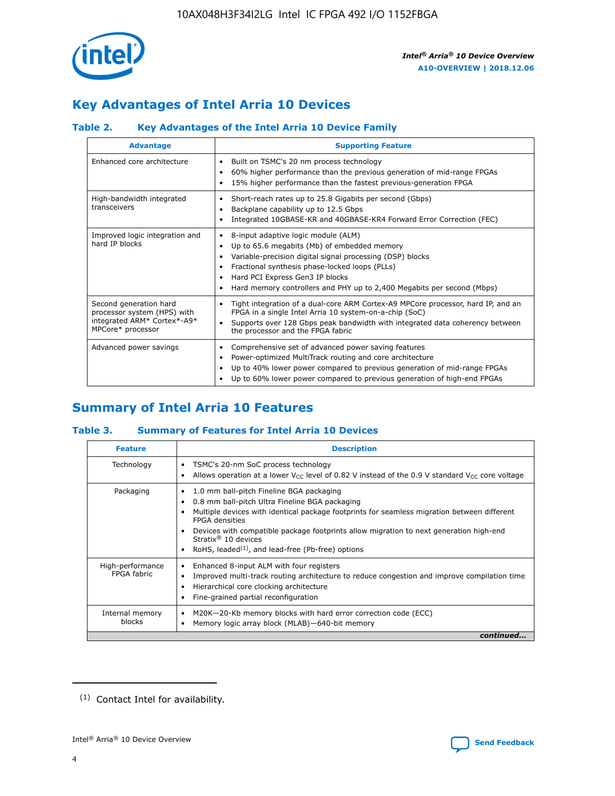

# **Key Advantages of Intel Arria 10 Devices**

## **Table 2. Key Advantages of the Intel Arria 10 Device Family**

| <b>Advantage</b>                                                                                          | <b>Supporting Feature</b>                                                                                                                                                                                                                                                                                                |  |  |  |  |  |  |
|-----------------------------------------------------------------------------------------------------------|--------------------------------------------------------------------------------------------------------------------------------------------------------------------------------------------------------------------------------------------------------------------------------------------------------------------------|--|--|--|--|--|--|
| Enhanced core architecture                                                                                | Built on TSMC's 20 nm process technology<br>٠<br>60% higher performance than the previous generation of mid-range FPGAs<br>٠<br>15% higher performance than the fastest previous-generation FPGA                                                                                                                         |  |  |  |  |  |  |
| High-bandwidth integrated<br>transceivers                                                                 | Short-reach rates up to 25.8 Gigabits per second (Gbps)<br>٠<br>Backplane capability up to 12.5 Gbps<br>٠<br>Integrated 10GBASE-KR and 40GBASE-KR4 Forward Error Correction (FEC)                                                                                                                                        |  |  |  |  |  |  |
| Improved logic integration and<br>hard IP blocks                                                          | 8-input adaptive logic module (ALM)<br>٠<br>Up to 65.6 megabits (Mb) of embedded memory<br>٠<br>Variable-precision digital signal processing (DSP) blocks<br>Fractional synthesis phase-locked loops (PLLs)<br>Hard PCI Express Gen3 IP blocks<br>Hard memory controllers and PHY up to 2,400 Megabits per second (Mbps) |  |  |  |  |  |  |
| Second generation hard<br>processor system (HPS) with<br>integrated ARM* Cortex*-A9*<br>MPCore* processor | Tight integration of a dual-core ARM Cortex-A9 MPCore processor, hard IP, and an<br>٠<br>FPGA in a single Intel Arria 10 system-on-a-chip (SoC)<br>Supports over 128 Gbps peak bandwidth with integrated data coherency between<br>the processor and the FPGA fabric                                                     |  |  |  |  |  |  |
| Advanced power savings                                                                                    | Comprehensive set of advanced power saving features<br>٠<br>Power-optimized MultiTrack routing and core architecture<br>٠<br>Up to 40% lower power compared to previous generation of mid-range FPGAs<br>Up to 60% lower power compared to previous generation of high-end FPGAs                                         |  |  |  |  |  |  |

# **Summary of Intel Arria 10 Features**

## **Table 3. Summary of Features for Intel Arria 10 Devices**

| <b>Feature</b>                  | <b>Description</b>                                                                                                                                                                                                                                                                                                                                                                                       |
|---------------------------------|----------------------------------------------------------------------------------------------------------------------------------------------------------------------------------------------------------------------------------------------------------------------------------------------------------------------------------------------------------------------------------------------------------|
| Technology                      | TSMC's 20-nm SoC process technology<br>٠<br>Allows operation at a lower $V_{\text{CC}}$ level of 0.82 V instead of the 0.9 V standard $V_{\text{CC}}$ core voltage                                                                                                                                                                                                                                       |
| Packaging                       | 1.0 mm ball-pitch Fineline BGA packaging<br>0.8 mm ball-pitch Ultra Fineline BGA packaging<br>Multiple devices with identical package footprints for seamless migration between different<br><b>FPGA</b> densities<br>Devices with compatible package footprints allow migration to next generation high-end<br>Stratix $\mathcal{R}$ 10 devices<br>RoHS, leaded $(1)$ , and lead-free (Pb-free) options |
| High-performance<br>FPGA fabric | Enhanced 8-input ALM with four registers<br>٠<br>Improved multi-track routing architecture to reduce congestion and improve compilation time<br>Hierarchical core clocking architecture<br>Fine-grained partial reconfiguration                                                                                                                                                                          |
| Internal memory<br>blocks       | M20K-20-Kb memory blocks with hard error correction code (ECC)<br>Memory logic array block (MLAB)-640-bit memory                                                                                                                                                                                                                                                                                         |
|                                 | continued                                                                                                                                                                                                                                                                                                                                                                                                |



<sup>(1)</sup> Contact Intel for availability.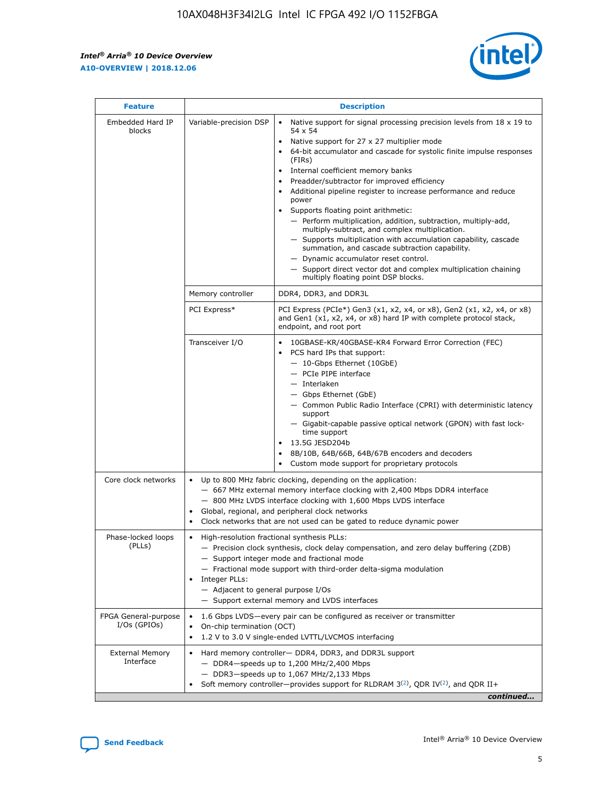r



| <b>Feature</b>                         |                                                                                                                | <b>Description</b>                                                                                                                                                                                                                                                                                                                                                                                                                                                                                                                                                                                                                                                                                                                                                                                                                     |
|----------------------------------------|----------------------------------------------------------------------------------------------------------------|----------------------------------------------------------------------------------------------------------------------------------------------------------------------------------------------------------------------------------------------------------------------------------------------------------------------------------------------------------------------------------------------------------------------------------------------------------------------------------------------------------------------------------------------------------------------------------------------------------------------------------------------------------------------------------------------------------------------------------------------------------------------------------------------------------------------------------------|
| Embedded Hard IP<br>blocks             | Variable-precision DSP                                                                                         | Native support for signal processing precision levels from $18 \times 19$ to<br>54 x 54<br>Native support for 27 x 27 multiplier mode<br>64-bit accumulator and cascade for systolic finite impulse responses<br>(FIRs)<br>Internal coefficient memory banks<br>$\bullet$<br>Preadder/subtractor for improved efficiency<br>Additional pipeline register to increase performance and reduce<br>power<br>Supports floating point arithmetic:<br>- Perform multiplication, addition, subtraction, multiply-add,<br>multiply-subtract, and complex multiplication.<br>- Supports multiplication with accumulation capability, cascade<br>summation, and cascade subtraction capability.<br>- Dynamic accumulator reset control.<br>- Support direct vector dot and complex multiplication chaining<br>multiply floating point DSP blocks. |
|                                        | Memory controller                                                                                              | DDR4, DDR3, and DDR3L                                                                                                                                                                                                                                                                                                                                                                                                                                                                                                                                                                                                                                                                                                                                                                                                                  |
|                                        | PCI Express*                                                                                                   | PCI Express (PCIe*) Gen3 (x1, x2, x4, or x8), Gen2 (x1, x2, x4, or x8)<br>and Gen1 (x1, x2, x4, or x8) hard IP with complete protocol stack,<br>endpoint, and root port                                                                                                                                                                                                                                                                                                                                                                                                                                                                                                                                                                                                                                                                |
|                                        | Transceiver I/O                                                                                                | 10GBASE-KR/40GBASE-KR4 Forward Error Correction (FEC)<br>PCS hard IPs that support:<br>$\bullet$<br>- 10-Gbps Ethernet (10GbE)<br>- PCIe PIPE interface<br>$-$ Interlaken<br>- Gbps Ethernet (GbE)<br>- Common Public Radio Interface (CPRI) with deterministic latency<br>support<br>- Gigabit-capable passive optical network (GPON) with fast lock-<br>time support<br>13.5G JESD204b<br>$\bullet$<br>8B/10B, 64B/66B, 64B/67B encoders and decoders<br>Custom mode support for proprietary protocols                                                                                                                                                                                                                                                                                                                               |
| Core clock networks                    | $\bullet$<br>$\bullet$                                                                                         | Up to 800 MHz fabric clocking, depending on the application:<br>- 667 MHz external memory interface clocking with 2,400 Mbps DDR4 interface<br>- 800 MHz LVDS interface clocking with 1,600 Mbps LVDS interface<br>Global, regional, and peripheral clock networks<br>Clock networks that are not used can be gated to reduce dynamic power                                                                                                                                                                                                                                                                                                                                                                                                                                                                                            |
| Phase-locked loops<br>(PLLs)           | High-resolution fractional synthesis PLLs:<br>$\bullet$<br>Integer PLLs:<br>- Adjacent to general purpose I/Os | - Precision clock synthesis, clock delay compensation, and zero delay buffering (ZDB)<br>- Support integer mode and fractional mode<br>- Fractional mode support with third-order delta-sigma modulation<br>- Support external memory and LVDS interfaces                                                                                                                                                                                                                                                                                                                                                                                                                                                                                                                                                                              |
| FPGA General-purpose<br>$I/Os$ (GPIOs) | On-chip termination (OCT)                                                                                      | 1.6 Gbps LVDS-every pair can be configured as receiver or transmitter<br>1.2 V to 3.0 V single-ended LVTTL/LVCMOS interfacing                                                                                                                                                                                                                                                                                                                                                                                                                                                                                                                                                                                                                                                                                                          |
| <b>External Memory</b><br>Interface    |                                                                                                                | Hard memory controller- DDR4, DDR3, and DDR3L support<br>$-$ DDR4 $-$ speeds up to 1,200 MHz/2,400 Mbps<br>- DDR3-speeds up to 1,067 MHz/2,133 Mbps<br>Soft memory controller—provides support for RLDRAM $3^{(2)}$ , QDR IV $^{(2)}$ , and QDR II+<br>continued                                                                                                                                                                                                                                                                                                                                                                                                                                                                                                                                                                       |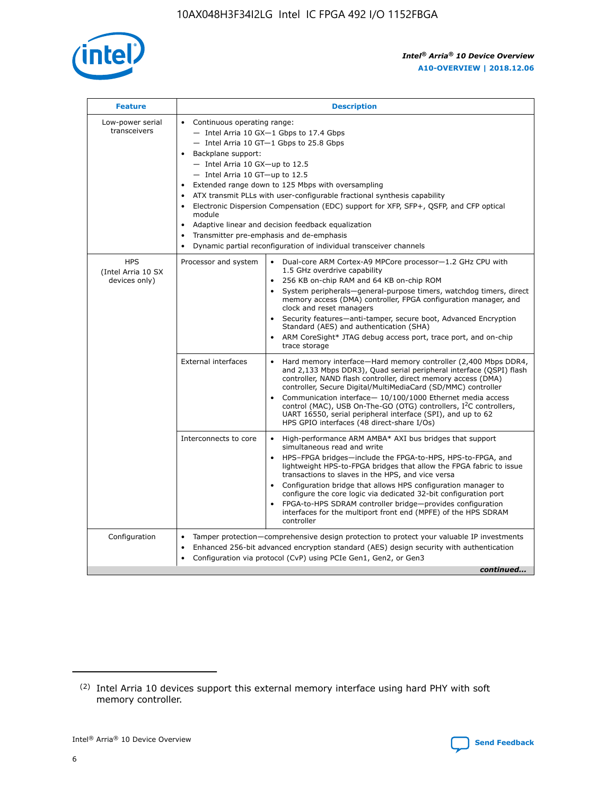

| <b>Feature</b>                                    | <b>Description</b>                                                                                                                                                                                                                                                                                                                                                                                                                                                                                                                                                                                                                                                 |
|---------------------------------------------------|--------------------------------------------------------------------------------------------------------------------------------------------------------------------------------------------------------------------------------------------------------------------------------------------------------------------------------------------------------------------------------------------------------------------------------------------------------------------------------------------------------------------------------------------------------------------------------------------------------------------------------------------------------------------|
| Low-power serial<br>transceivers                  | • Continuous operating range:<br>- Intel Arria 10 GX-1 Gbps to 17.4 Gbps<br>- Intel Arria 10 GT-1 Gbps to 25.8 Gbps<br>Backplane support:<br>$-$ Intel Arria 10 GX-up to 12.5<br>- Intel Arria 10 GT-up to 12.5<br>Extended range down to 125 Mbps with oversampling<br>ATX transmit PLLs with user-configurable fractional synthesis capability<br>$\bullet$<br>Electronic Dispersion Compensation (EDC) support for XFP, SFP+, OSFP, and CFP optical<br>module<br>Adaptive linear and decision feedback equalization<br>$\bullet$<br>Transmitter pre-emphasis and de-emphasis<br>$\bullet$<br>Dynamic partial reconfiguration of individual transceiver channels |
| <b>HPS</b><br>(Intel Arria 10 SX<br>devices only) | • Dual-core ARM Cortex-A9 MPCore processor-1.2 GHz CPU with<br>Processor and system<br>1.5 GHz overdrive capability<br>256 KB on-chip RAM and 64 KB on-chip ROM<br>$\bullet$<br>System peripherals—general-purpose timers, watchdog timers, direct<br>memory access (DMA) controller, FPGA configuration manager, and<br>clock and reset managers<br>Security features—anti-tamper, secure boot, Advanced Encryption<br>$\bullet$<br>Standard (AES) and authentication (SHA)<br>ARM CoreSight* JTAG debug access port, trace port, and on-chip<br>$\bullet$<br>trace storage                                                                                       |
|                                                   | <b>External interfaces</b><br>Hard memory interface-Hard memory controller (2,400 Mbps DDR4,<br>$\bullet$<br>and 2,133 Mbps DDR3), Quad serial peripheral interface (QSPI) flash<br>controller, NAND flash controller, direct memory access (DMA)<br>controller, Secure Digital/MultiMediaCard (SD/MMC) controller<br>Communication interface-10/100/1000 Ethernet media access<br>$\bullet$<br>control (MAC), USB On-The-GO (OTG) controllers, I <sup>2</sup> C controllers,<br>UART 16550, serial peripheral interface (SPI), and up to 62<br>HPS GPIO interfaces (48 direct-share I/Os)                                                                         |
|                                                   | Interconnects to core<br>High-performance ARM AMBA* AXI bus bridges that support<br>$\bullet$<br>simultaneous read and write<br>HPS-FPGA bridges-include the FPGA-to-HPS, HPS-to-FPGA, and<br>$\bullet$<br>lightweight HPS-to-FPGA bridges that allow the FPGA fabric to issue<br>transactions to slaves in the HPS, and vice versa<br>Configuration bridge that allows HPS configuration manager to<br>configure the core logic via dedicated 32-bit configuration port<br>FPGA-to-HPS SDRAM controller bridge-provides configuration<br>interfaces for the multiport front end (MPFE) of the HPS SDRAM<br>controller                                             |
| Configuration                                     | Tamper protection—comprehensive design protection to protect your valuable IP investments<br>Enhanced 256-bit advanced encryption standard (AES) design security with authentication<br>٠<br>Configuration via protocol (CvP) using PCIe Gen1, Gen2, or Gen3<br>continued                                                                                                                                                                                                                                                                                                                                                                                          |

<sup>(2)</sup> Intel Arria 10 devices support this external memory interface using hard PHY with soft memory controller.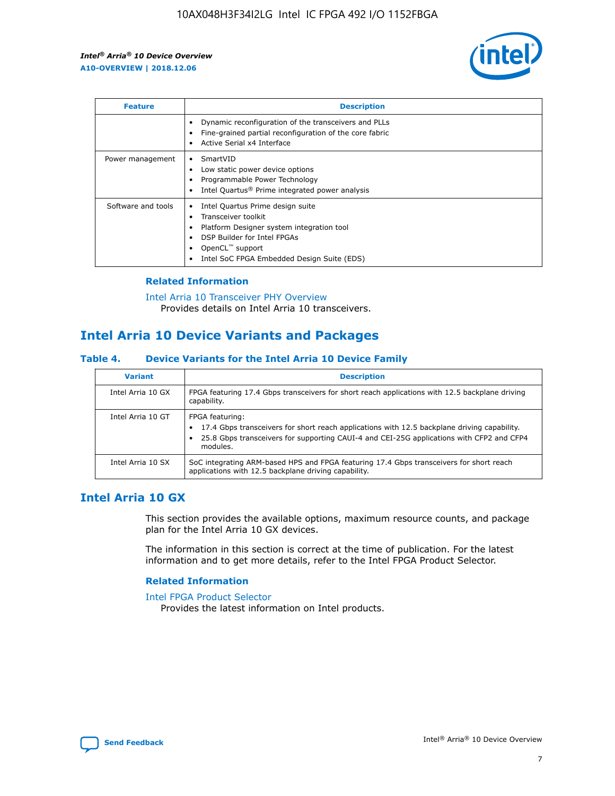

| <b>Feature</b>     | <b>Description</b>                                                                                                                                                                                               |
|--------------------|------------------------------------------------------------------------------------------------------------------------------------------------------------------------------------------------------------------|
|                    | Dynamic reconfiguration of the transceivers and PLLs<br>Fine-grained partial reconfiguration of the core fabric<br>Active Serial x4 Interface<br>$\bullet$                                                       |
| Power management   | SmartVID<br>Low static power device options<br>Programmable Power Technology<br>Intel Quartus <sup>®</sup> Prime integrated power analysis                                                                       |
| Software and tools | Intel Quartus Prime design suite<br>Transceiver toolkit<br>Platform Designer system integration tool<br>DSP Builder for Intel FPGAs<br>OpenCL <sup>™</sup> support<br>Intel SoC FPGA Embedded Design Suite (EDS) |

## **Related Information**

[Intel Arria 10 Transceiver PHY Overview](https://www.intel.com/content/www/us/en/programmable/documentation/nik1398707230472.html#nik1398706768037) Provides details on Intel Arria 10 transceivers.

# **Intel Arria 10 Device Variants and Packages**

#### **Table 4. Device Variants for the Intel Arria 10 Device Family**

| <b>Variant</b>    | <b>Description</b>                                                                                                                                                                                                     |
|-------------------|------------------------------------------------------------------------------------------------------------------------------------------------------------------------------------------------------------------------|
| Intel Arria 10 GX | FPGA featuring 17.4 Gbps transceivers for short reach applications with 12.5 backplane driving<br>capability.                                                                                                          |
| Intel Arria 10 GT | FPGA featuring:<br>17.4 Gbps transceivers for short reach applications with 12.5 backplane driving capability.<br>25.8 Gbps transceivers for supporting CAUI-4 and CEI-25G applications with CFP2 and CFP4<br>modules. |
| Intel Arria 10 SX | SoC integrating ARM-based HPS and FPGA featuring 17.4 Gbps transceivers for short reach<br>applications with 12.5 backplane driving capability.                                                                        |

## **Intel Arria 10 GX**

This section provides the available options, maximum resource counts, and package plan for the Intel Arria 10 GX devices.

The information in this section is correct at the time of publication. For the latest information and to get more details, refer to the Intel FPGA Product Selector.

### **Related Information**

#### [Intel FPGA Product Selector](http://www.altera.com/products/selector/psg-selector.html) Provides the latest information on Intel products.

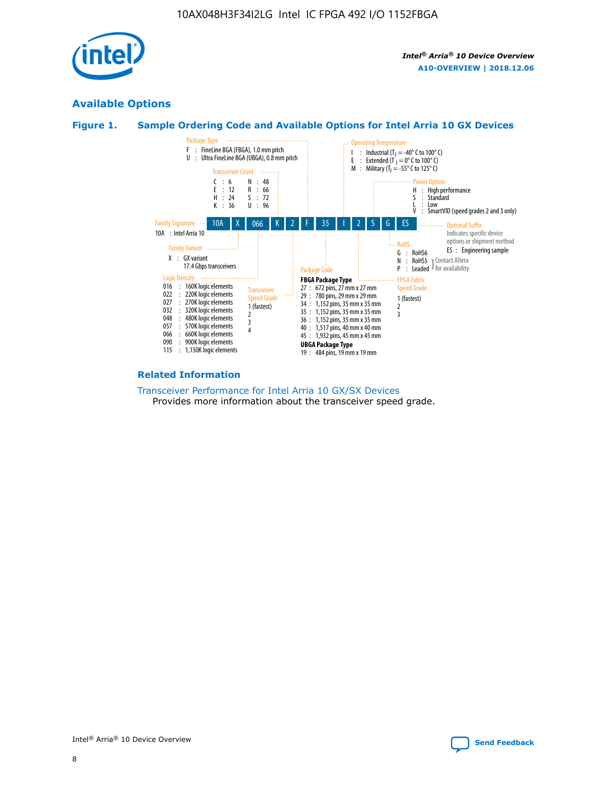

## **Available Options**





#### **Related Information**

[Transceiver Performance for Intel Arria 10 GX/SX Devices](https://www.intel.com/content/www/us/en/programmable/documentation/mcn1413182292568.html#mcn1413213965502) Provides more information about the transceiver speed grade.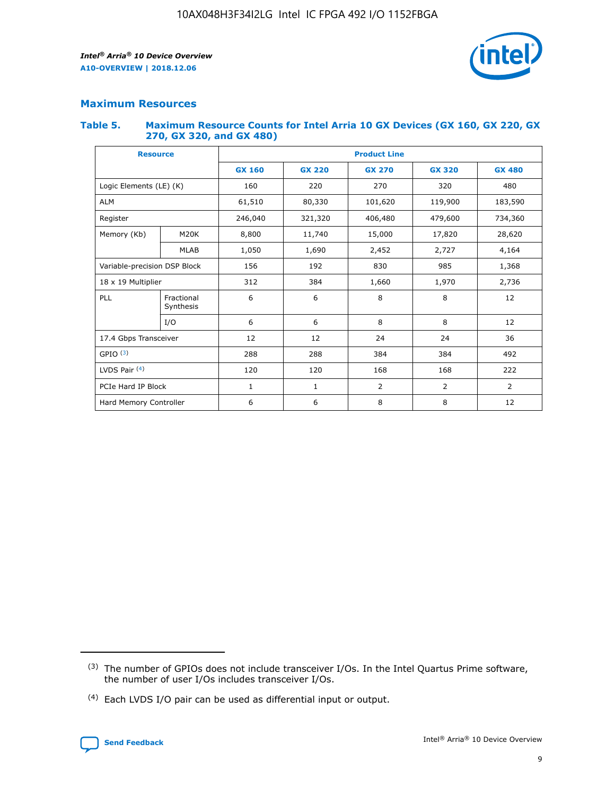

## **Maximum Resources**

#### **Table 5. Maximum Resource Counts for Intel Arria 10 GX Devices (GX 160, GX 220, GX 270, GX 320, and GX 480)**

| <b>Resource</b>         |                              | <b>Product Line</b> |                                                 |                |                |                |  |  |
|-------------------------|------------------------------|---------------------|-------------------------------------------------|----------------|----------------|----------------|--|--|
|                         |                              | <b>GX 160</b>       | <b>GX 220</b><br><b>GX 270</b><br><b>GX 320</b> |                |                | <b>GX 480</b>  |  |  |
| Logic Elements (LE) (K) |                              | 160                 | 220                                             | 270            | 320            | 480            |  |  |
| <b>ALM</b>              |                              | 61,510              | 80,330                                          | 101,620        | 119,900        | 183,590        |  |  |
| Register                |                              | 246,040             | 321,320                                         | 406,480        | 479,600        | 734,360        |  |  |
| Memory (Kb)             | M <sub>20</sub> K            | 8,800               | 11,740                                          | 15,000         | 17,820         | 28,620         |  |  |
|                         | <b>MLAB</b>                  | 1,050               | 1,690                                           | 2,452          | 2,727          | 4,164          |  |  |
|                         | Variable-precision DSP Block |                     | 192                                             | 830<br>985     |                | 1,368          |  |  |
| 18 x 19 Multiplier      |                              | 312                 | 384                                             | 1,660<br>1,970 |                | 2,736          |  |  |
| PLL                     | Fractional<br>Synthesis      | 6                   | 6                                               | 8              | 8              | 12             |  |  |
|                         | I/O                          | 6                   | 6                                               | 8              | 8              | 12             |  |  |
| 17.4 Gbps Transceiver   |                              | 12                  | 12                                              | 24             | 24             | 36             |  |  |
| GPIO <sup>(3)</sup>     |                              | 288                 | 288                                             | 384            | 384            | 492            |  |  |
| LVDS Pair $(4)$         |                              | 120                 | 120                                             | 168            | 168            | 222            |  |  |
| PCIe Hard IP Block      |                              | 1                   | 1                                               | 2              | $\overline{2}$ | $\overline{2}$ |  |  |
| Hard Memory Controller  |                              | 6                   | 6                                               | 8              | 8              | 12             |  |  |

<sup>(4)</sup> Each LVDS I/O pair can be used as differential input or output.



<sup>(3)</sup> The number of GPIOs does not include transceiver I/Os. In the Intel Quartus Prime software, the number of user I/Os includes transceiver I/Os.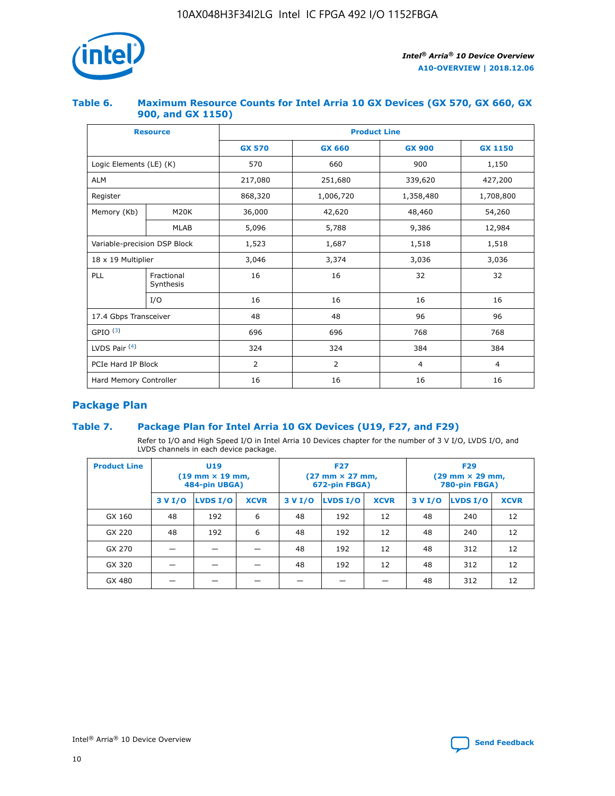

## **Table 6. Maximum Resource Counts for Intel Arria 10 GX Devices (GX 570, GX 660, GX 900, and GX 1150)**

|                              | <b>Resource</b>         | <b>Product Line</b> |                                |                |                |  |  |  |
|------------------------------|-------------------------|---------------------|--------------------------------|----------------|----------------|--|--|--|
|                              |                         | <b>GX 570</b>       | <b>GX 660</b><br><b>GX 900</b> |                | <b>GX 1150</b> |  |  |  |
| Logic Elements (LE) (K)      |                         | 570                 | 660                            | 900            | 1,150          |  |  |  |
| <b>ALM</b>                   |                         | 217,080             | 251,680                        | 339,620        | 427,200        |  |  |  |
| Register                     |                         | 868,320             | 1,006,720                      | 1,358,480      | 1,708,800      |  |  |  |
| Memory (Kb)                  | <b>M20K</b>             | 36,000              | 42,620                         | 48,460         | 54,260         |  |  |  |
|                              | <b>MLAB</b>             | 5,096               | 5,788                          | 9,386          | 12,984         |  |  |  |
| Variable-precision DSP Block |                         | 1,523               | 1,687                          | 1,518          | 1,518          |  |  |  |
| $18 \times 19$ Multiplier    |                         | 3,046               | 3,374                          | 3,036          | 3,036          |  |  |  |
| PLL                          | Fractional<br>Synthesis | 16                  | 16                             | 32             | 32             |  |  |  |
|                              | I/O                     | 16                  | 16                             | 16             | 16             |  |  |  |
| 17.4 Gbps Transceiver        |                         | 48                  | 48<br>96                       |                | 96             |  |  |  |
| GPIO <sup>(3)</sup>          |                         | 696                 | 696                            | 768            | 768            |  |  |  |
| LVDS Pair $(4)$              |                         | 324                 | 324<br>384                     |                | 384            |  |  |  |
| PCIe Hard IP Block           |                         | 2                   | $\overline{2}$                 | $\overline{4}$ | 4              |  |  |  |
| Hard Memory Controller       |                         | 16                  | 16                             | 16             | 16             |  |  |  |

## **Package Plan**

## **Table 7. Package Plan for Intel Arria 10 GX Devices (U19, F27, and F29)**

Refer to I/O and High Speed I/O in Intel Arria 10 Devices chapter for the number of 3 V I/O, LVDS I/O, and LVDS channels in each device package.

| <b>Product Line</b> | U <sub>19</sub><br>$(19 \text{ mm} \times 19 \text{ mm})$<br>484-pin UBGA) |          |             |         | <b>F27</b><br>(27 mm × 27 mm,<br>672-pin FBGA) |             | <b>F29</b><br>(29 mm × 29 mm,<br>780-pin FBGA) |          |             |  |
|---------------------|----------------------------------------------------------------------------|----------|-------------|---------|------------------------------------------------|-------------|------------------------------------------------|----------|-------------|--|
|                     | 3 V I/O                                                                    | LVDS I/O | <b>XCVR</b> | 3 V I/O | <b>LVDS I/O</b>                                | <b>XCVR</b> | 3 V I/O                                        | LVDS I/O | <b>XCVR</b> |  |
| GX 160              | 48                                                                         | 192      | 6           | 48      | 192                                            | 12          | 48                                             | 240      | 12          |  |
| GX 220              | 48                                                                         | 192      | 6           | 48      | 192                                            | 12          | 48                                             | 240      | 12          |  |
| GX 270              |                                                                            |          |             | 48      | 192                                            | 12          | 48                                             | 312      | 12          |  |
| GX 320              |                                                                            |          |             | 48      | 192                                            | 12          | 48                                             | 312      | 12          |  |
| GX 480              |                                                                            |          |             |         |                                                |             | 48                                             | 312      | 12          |  |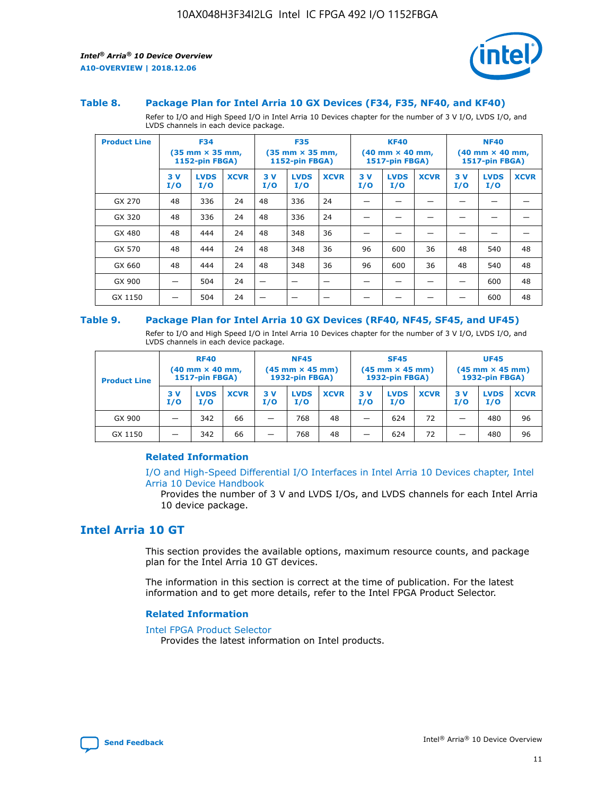

#### **Table 8. Package Plan for Intel Arria 10 GX Devices (F34, F35, NF40, and KF40)**

Refer to I/O and High Speed I/O in Intel Arria 10 Devices chapter for the number of 3 V I/O, LVDS I/O, and LVDS channels in each device package.

| <b>Product Line</b> | <b>F34</b><br>$(35 \text{ mm} \times 35 \text{ mm})$<br>1152-pin FBGA) |                    | <b>F35</b><br>$(35$ mm $\times$ 35 mm,<br><b>1152-pin FBGA)</b> |           | <b>KF40</b><br>$(40 \text{ mm} \times 40 \text{ mm})$<br>1517-pin FBGA) |             |           | <b>NF40</b><br>$(40 \text{ mm} \times 40 \text{ mm})$<br><b>1517-pin FBGA)</b> |             |            |                    |             |
|---------------------|------------------------------------------------------------------------|--------------------|-----------------------------------------------------------------|-----------|-------------------------------------------------------------------------|-------------|-----------|--------------------------------------------------------------------------------|-------------|------------|--------------------|-------------|
|                     | 3V<br>I/O                                                              | <b>LVDS</b><br>I/O | <b>XCVR</b>                                                     | 3V<br>I/O | <b>LVDS</b><br>I/O                                                      | <b>XCVR</b> | 3V<br>I/O | <b>LVDS</b><br>I/O                                                             | <b>XCVR</b> | 3 V<br>I/O | <b>LVDS</b><br>I/O | <b>XCVR</b> |
| GX 270              | 48                                                                     | 336                | 24                                                              | 48        | 336                                                                     | 24          |           |                                                                                |             |            |                    |             |
| GX 320              | 48                                                                     | 336                | 24                                                              | 48        | 336                                                                     | 24          |           |                                                                                |             |            |                    |             |
| GX 480              | 48                                                                     | 444                | 24                                                              | 48        | 348                                                                     | 36          |           |                                                                                |             |            |                    |             |
| GX 570              | 48                                                                     | 444                | 24                                                              | 48        | 348                                                                     | 36          | 96        | 600                                                                            | 36          | 48         | 540                | 48          |
| GX 660              | 48                                                                     | 444                | 24                                                              | 48        | 348                                                                     | 36          | 96        | 600                                                                            | 36          | 48         | 540                | 48          |
| GX 900              |                                                                        | 504                | 24                                                              | –         |                                                                         |             |           |                                                                                |             |            | 600                | 48          |
| GX 1150             |                                                                        | 504                | 24                                                              |           |                                                                         |             |           |                                                                                |             |            | 600                | 48          |

#### **Table 9. Package Plan for Intel Arria 10 GX Devices (RF40, NF45, SF45, and UF45)**

Refer to I/O and High Speed I/O in Intel Arria 10 Devices chapter for the number of 3 V I/O, LVDS I/O, and LVDS channels in each device package.

| <b>Product Line</b> | <b>RF40</b><br>$(40 \text{ mm} \times 40 \text{ mm})$<br>1517-pin FBGA) |                    | <b>NF45</b><br>$(45 \text{ mm} \times 45 \text{ mm})$<br><b>1932-pin FBGA)</b> |            |                    | <b>SF45</b><br>$(45 \text{ mm} \times 45 \text{ mm})$<br><b>1932-pin FBGA)</b> |            |                    | <b>UF45</b><br>$(45 \text{ mm} \times 45 \text{ mm})$<br>1932-pin FBGA) |           |                    |             |
|---------------------|-------------------------------------------------------------------------|--------------------|--------------------------------------------------------------------------------|------------|--------------------|--------------------------------------------------------------------------------|------------|--------------------|-------------------------------------------------------------------------|-----------|--------------------|-------------|
|                     | 3V<br>I/O                                                               | <b>LVDS</b><br>I/O | <b>XCVR</b>                                                                    | 3 V<br>I/O | <b>LVDS</b><br>I/O | <b>XCVR</b>                                                                    | 3 V<br>I/O | <b>LVDS</b><br>I/O | <b>XCVR</b>                                                             | 3V<br>I/O | <b>LVDS</b><br>I/O | <b>XCVR</b> |
| GX 900              |                                                                         | 342                | 66                                                                             | _          | 768                | 48                                                                             |            | 624                | 72                                                                      |           | 480                | 96          |
| GX 1150             |                                                                         | 342                | 66                                                                             | -          | 768                | 48                                                                             |            | 624                | 72                                                                      |           | 480                | 96          |

### **Related Information**

[I/O and High-Speed Differential I/O Interfaces in Intel Arria 10 Devices chapter, Intel](https://www.intel.com/content/www/us/en/programmable/documentation/sam1403482614086.html#sam1403482030321) [Arria 10 Device Handbook](https://www.intel.com/content/www/us/en/programmable/documentation/sam1403482614086.html#sam1403482030321)

Provides the number of 3 V and LVDS I/Os, and LVDS channels for each Intel Arria 10 device package.

## **Intel Arria 10 GT**

This section provides the available options, maximum resource counts, and package plan for the Intel Arria 10 GT devices.

The information in this section is correct at the time of publication. For the latest information and to get more details, refer to the Intel FPGA Product Selector.

#### **Related Information**

#### [Intel FPGA Product Selector](http://www.altera.com/products/selector/psg-selector.html)

Provides the latest information on Intel products.

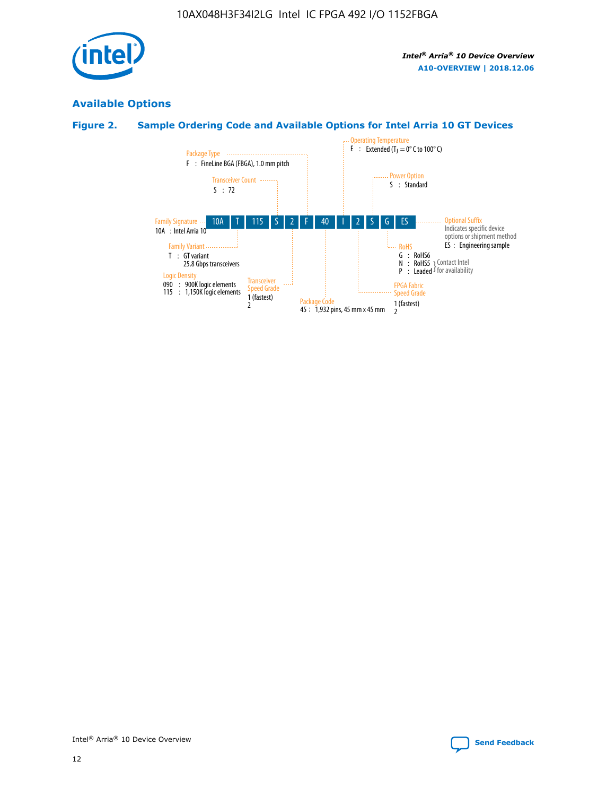

## **Available Options**

## **Figure 2. Sample Ordering Code and Available Options for Intel Arria 10 GT Devices**

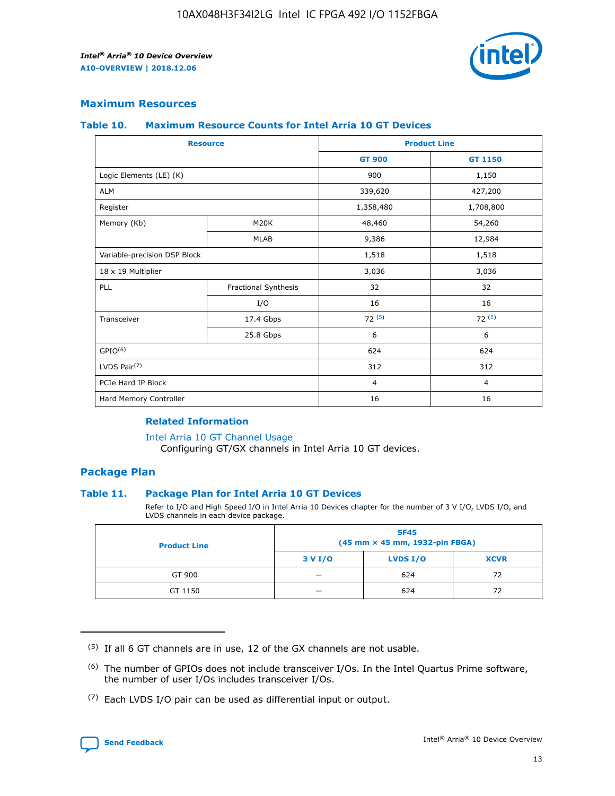

## **Maximum Resources**

#### **Table 10. Maximum Resource Counts for Intel Arria 10 GT Devices**

|                              | <b>Resource</b>      | <b>Product Line</b> |                |  |
|------------------------------|----------------------|---------------------|----------------|--|
|                              |                      | <b>GT 900</b>       | GT 1150        |  |
| Logic Elements (LE) (K)      |                      | 900                 | 1,150          |  |
| <b>ALM</b>                   |                      | 339,620             | 427,200        |  |
| Register                     |                      | 1,358,480           | 1,708,800      |  |
| Memory (Kb)                  | M20K                 | 48,460              | 54,260         |  |
|                              | <b>MLAB</b>          | 9,386               | 12,984         |  |
| Variable-precision DSP Block |                      | 1,518               | 1,518          |  |
| 18 x 19 Multiplier           |                      | 3,036               | 3,036          |  |
| PLL                          | Fractional Synthesis | 32                  | 32             |  |
|                              | I/O                  | 16                  | 16             |  |
| Transceiver                  | 17.4 Gbps            | 72(5)               | 72(5)          |  |
|                              | 25.8 Gbps            | 6                   | 6              |  |
| GPIO <sup>(6)</sup>          |                      | 624                 | 624            |  |
| LVDS Pair $(7)$              |                      | 312                 | 312            |  |
| PCIe Hard IP Block           |                      | $\overline{4}$      | $\overline{4}$ |  |
| Hard Memory Controller       |                      | 16                  | 16             |  |

#### **Related Information**

#### [Intel Arria 10 GT Channel Usage](https://www.intel.com/content/www/us/en/programmable/documentation/nik1398707230472.html#nik1398707008178)

Configuring GT/GX channels in Intel Arria 10 GT devices.

## **Package Plan**

### **Table 11. Package Plan for Intel Arria 10 GT Devices**

Refer to I/O and High Speed I/O in Intel Arria 10 Devices chapter for the number of 3 V I/O, LVDS I/O, and LVDS channels in each device package.

| <b>Product Line</b> | <b>SF45</b><br>(45 mm × 45 mm, 1932-pin FBGA) |                 |             |  |  |  |  |
|---------------------|-----------------------------------------------|-----------------|-------------|--|--|--|--|
|                     | 3 V I/O                                       | <b>LVDS I/O</b> | <b>XCVR</b> |  |  |  |  |
| GT 900              |                                               | 624             | 72          |  |  |  |  |
| GT 1150             |                                               | 624             | 72          |  |  |  |  |

<sup>(7)</sup> Each LVDS I/O pair can be used as differential input or output.



 $(5)$  If all 6 GT channels are in use, 12 of the GX channels are not usable.

<sup>(6)</sup> The number of GPIOs does not include transceiver I/Os. In the Intel Quartus Prime software, the number of user I/Os includes transceiver I/Os.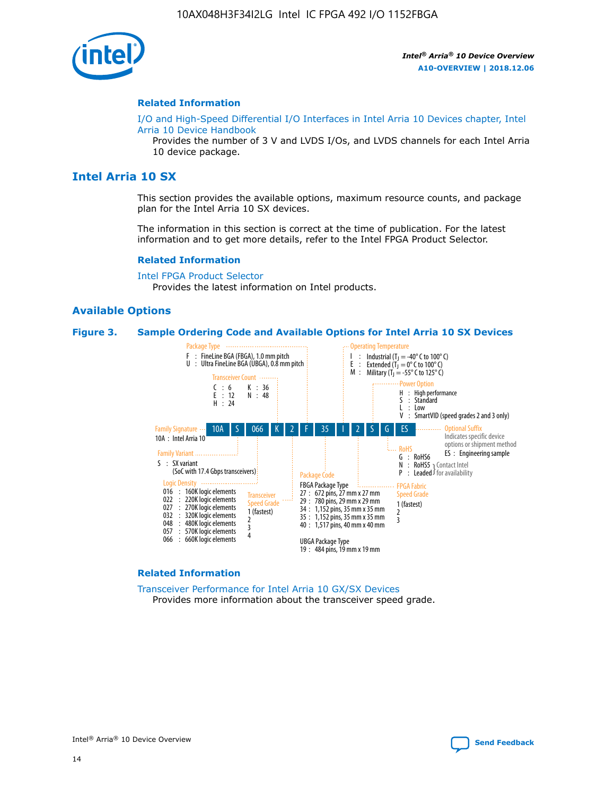

#### **Related Information**

[I/O and High-Speed Differential I/O Interfaces in Intel Arria 10 Devices chapter, Intel](https://www.intel.com/content/www/us/en/programmable/documentation/sam1403482614086.html#sam1403482030321) [Arria 10 Device Handbook](https://www.intel.com/content/www/us/en/programmable/documentation/sam1403482614086.html#sam1403482030321)

Provides the number of 3 V and LVDS I/Os, and LVDS channels for each Intel Arria 10 device package.

## **Intel Arria 10 SX**

This section provides the available options, maximum resource counts, and package plan for the Intel Arria 10 SX devices.

The information in this section is correct at the time of publication. For the latest information and to get more details, refer to the Intel FPGA Product Selector.

#### **Related Information**

[Intel FPGA Product Selector](http://www.altera.com/products/selector/psg-selector.html) Provides the latest information on Intel products.

#### **Available Options**

#### **Figure 3. Sample Ordering Code and Available Options for Intel Arria 10 SX Devices**



#### **Related Information**

[Transceiver Performance for Intel Arria 10 GX/SX Devices](https://www.intel.com/content/www/us/en/programmable/documentation/mcn1413182292568.html#mcn1413213965502) Provides more information about the transceiver speed grade.

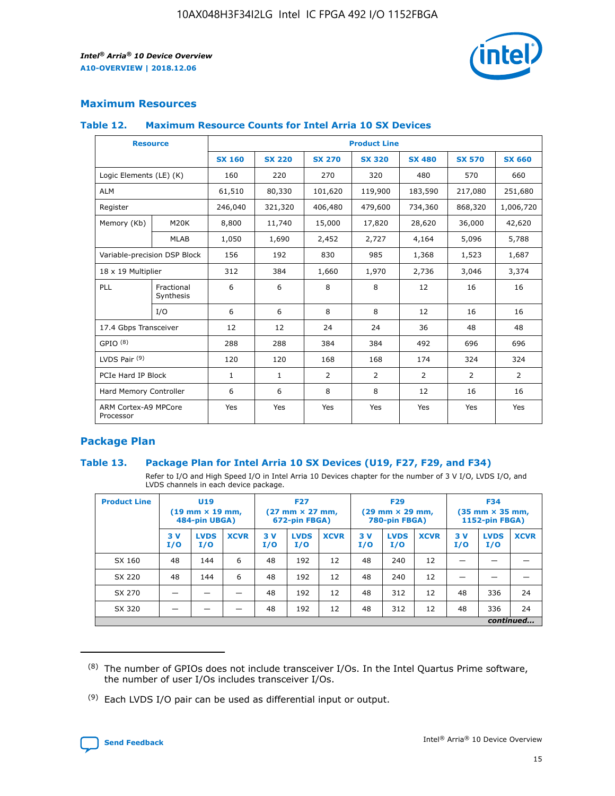

## **Maximum Resources**

### **Table 12. Maximum Resource Counts for Intel Arria 10 SX Devices**

|                                   | <b>Resource</b>         | <b>Product Line</b> |               |                |                |                |                |                |  |  |  |
|-----------------------------------|-------------------------|---------------------|---------------|----------------|----------------|----------------|----------------|----------------|--|--|--|
|                                   |                         | <b>SX 160</b>       | <b>SX 220</b> | <b>SX 270</b>  | <b>SX 320</b>  | <b>SX 480</b>  | <b>SX 570</b>  | <b>SX 660</b>  |  |  |  |
| Logic Elements (LE) (K)           |                         | 160                 | 220           | 270            | 320            | 480            | 570            | 660            |  |  |  |
| <b>ALM</b>                        |                         | 61,510              | 80,330        | 101,620        | 119,900        | 183,590        | 217,080        | 251,680        |  |  |  |
| Register                          |                         | 246,040             | 321,320       | 406,480        | 479,600        | 734,360        | 868,320        | 1,006,720      |  |  |  |
| Memory (Kb)                       | M <sub>20</sub> K       | 8,800               | 11,740        | 15,000         | 17,820         | 28,620         | 36,000         | 42,620         |  |  |  |
|                                   | <b>MLAB</b>             | 1,050               | 1,690         | 2,452          | 2,727          | 4,164          | 5,096          | 5,788          |  |  |  |
| Variable-precision DSP Block      |                         | 156                 | 192           | 830            | 985            | 1,368          | 1,523          | 1,687          |  |  |  |
| 18 x 19 Multiplier                |                         | 312                 | 384           | 1,660          | 1,970          | 2,736          | 3,046          | 3,374          |  |  |  |
| <b>PLL</b>                        | Fractional<br>Synthesis | 6                   | 6             | 8              | 8              | 12             | 16             | 16             |  |  |  |
|                                   | I/O                     | 6                   | 6             | 8              | 8              | 12             | 16             | 16             |  |  |  |
| 17.4 Gbps Transceiver             |                         | 12                  | 12            | 24             | 24             | 36             | 48             | 48             |  |  |  |
| GPIO <sup>(8)</sup>               |                         | 288                 | 288           | 384            | 384            | 492            | 696            | 696            |  |  |  |
| LVDS Pair $(9)$                   |                         | 120                 | 120           | 168            | 168            | 174            | 324            | 324            |  |  |  |
| PCIe Hard IP Block                |                         | $\mathbf{1}$        | $\mathbf{1}$  | $\overline{2}$ | $\overline{2}$ | $\overline{2}$ | $\overline{2}$ | $\overline{2}$ |  |  |  |
| Hard Memory Controller            |                         | 6                   | 6             | 8              | 8              | 12             | 16             | 16             |  |  |  |
| ARM Cortex-A9 MPCore<br>Processor |                         | Yes                 | Yes           | Yes            | Yes            | Yes            | Yes            | Yes            |  |  |  |

## **Package Plan**

### **Table 13. Package Plan for Intel Arria 10 SX Devices (U19, F27, F29, and F34)**

Refer to I/O and High Speed I/O in Intel Arria 10 Devices chapter for the number of 3 V I/O, LVDS I/O, and LVDS channels in each device package.

| <b>Product Line</b> | <b>U19</b><br>$(19 \text{ mm} \times 19 \text{ mm})$<br>484-pin UBGA) |                    | <b>F27</b><br>$(27 \text{ mm} \times 27 \text{ mm})$<br>672-pin FBGA) |           | <b>F29</b><br>$(29$ mm $\times$ 29 mm,<br>780-pin FBGA) |             |            | <b>F34</b><br>$(35 \text{ mm} \times 35 \text{ mm})$<br>1152-pin FBGA) |             |           |                    |             |
|---------------------|-----------------------------------------------------------------------|--------------------|-----------------------------------------------------------------------|-----------|---------------------------------------------------------|-------------|------------|------------------------------------------------------------------------|-------------|-----------|--------------------|-------------|
|                     | 3V<br>I/O                                                             | <b>LVDS</b><br>I/O | <b>XCVR</b>                                                           | 3V<br>I/O | <b>LVDS</b><br>I/O                                      | <b>XCVR</b> | 3 V<br>I/O | <b>LVDS</b><br>I/O                                                     | <b>XCVR</b> | 3V<br>I/O | <b>LVDS</b><br>I/O | <b>XCVR</b> |
| SX 160              | 48                                                                    | 144                | 6                                                                     | 48        | 192                                                     | 12          | 48         | 240                                                                    | 12          | –         |                    |             |
| SX 220              | 48                                                                    | 144                | 6                                                                     | 48        | 192                                                     | 12          | 48         | 240                                                                    | 12          |           |                    |             |
| SX 270              |                                                                       |                    |                                                                       | 48        | 192                                                     | 12          | 48         | 312                                                                    | 12          | 48        | 336                | 24          |
| SX 320              |                                                                       |                    |                                                                       | 48        | 192                                                     | 12          | 48         | 312                                                                    | 12          | 48        | 336                | 24          |
|                     | continued                                                             |                    |                                                                       |           |                                                         |             |            |                                                                        |             |           |                    |             |

 $(8)$  The number of GPIOs does not include transceiver I/Os. In the Intel Quartus Prime software, the number of user I/Os includes transceiver I/Os.

 $(9)$  Each LVDS I/O pair can be used as differential input or output.

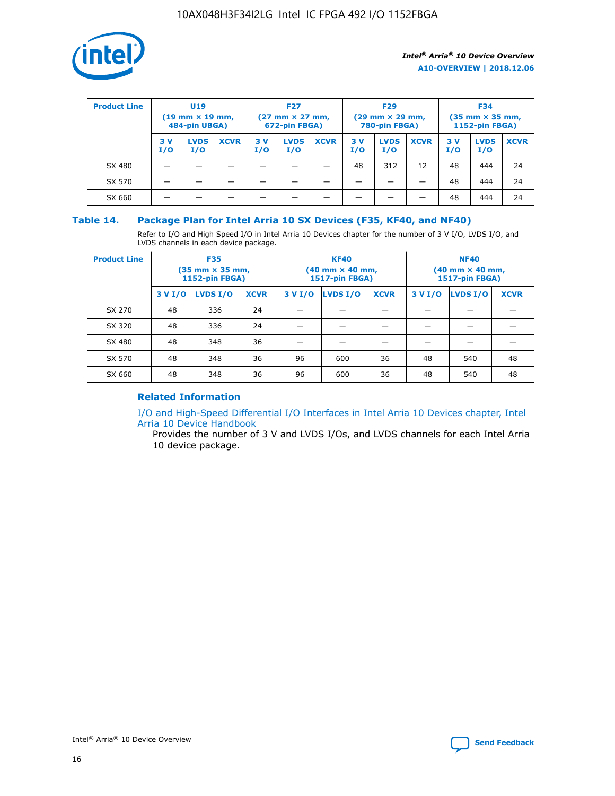

| <b>Product Line</b> | U <sub>19</sub><br>$(19 \text{ mm} \times 19 \text{ mm})$<br>484-pin UBGA) |                    | <b>F27</b><br>$(27 \text{ mm} \times 27 \text{ mm})$<br>672-pin FBGA) |            |                    | <b>F29</b><br>$(29 \text{ mm} \times 29 \text{ mm})$<br>780-pin FBGA) |           |                    | <b>F34</b><br>$(35$ mm $\times$ 35 mm,<br><b>1152-pin FBGA)</b> |           |                    |             |
|---------------------|----------------------------------------------------------------------------|--------------------|-----------------------------------------------------------------------|------------|--------------------|-----------------------------------------------------------------------|-----------|--------------------|-----------------------------------------------------------------|-----------|--------------------|-------------|
|                     | 3V<br>I/O                                                                  | <b>LVDS</b><br>I/O | <b>XCVR</b>                                                           | 3 V<br>I/O | <b>LVDS</b><br>I/O | <b>XCVR</b>                                                           | 3V<br>I/O | <b>LVDS</b><br>I/O | <b>XCVR</b>                                                     | 3V<br>I/O | <b>LVDS</b><br>I/O | <b>XCVR</b> |
| SX 480              |                                                                            |                    |                                                                       |            |                    |                                                                       | 48        | 312                | 12                                                              | 48        | 444                | 24          |
| SX 570              |                                                                            |                    |                                                                       |            |                    |                                                                       |           |                    |                                                                 | 48        | 444                | 24          |
| SX 660              |                                                                            |                    |                                                                       |            |                    |                                                                       |           |                    |                                                                 | 48        | 444                | 24          |

## **Table 14. Package Plan for Intel Arria 10 SX Devices (F35, KF40, and NF40)**

Refer to I/O and High Speed I/O in Intel Arria 10 Devices chapter for the number of 3 V I/O, LVDS I/O, and LVDS channels in each device package.

| <b>Product Line</b> | <b>F35</b><br>$(35 \text{ mm} \times 35 \text{ mm})$<br><b>1152-pin FBGA)</b> |          |             |                                           | <b>KF40</b><br>(40 mm × 40 mm,<br>1517-pin FBGA) |    | <b>NF40</b><br>$(40 \text{ mm} \times 40 \text{ mm})$<br>1517-pin FBGA) |          |             |  |
|---------------------|-------------------------------------------------------------------------------|----------|-------------|-------------------------------------------|--------------------------------------------------|----|-------------------------------------------------------------------------|----------|-------------|--|
|                     | 3 V I/O                                                                       | LVDS I/O | <b>XCVR</b> | <b>LVDS I/O</b><br><b>XCVR</b><br>3 V I/O |                                                  |    | 3 V I/O                                                                 | LVDS I/O | <b>XCVR</b> |  |
| SX 270              | 48                                                                            | 336      | 24          |                                           |                                                  |    |                                                                         |          |             |  |
| SX 320              | 48                                                                            | 336      | 24          |                                           |                                                  |    |                                                                         |          |             |  |
| SX 480              | 48                                                                            | 348      | 36          |                                           |                                                  |    |                                                                         |          |             |  |
| SX 570              | 48                                                                            | 348      | 36          | 96                                        | 600                                              | 36 | 48                                                                      | 540      | 48          |  |
| SX 660              | 48                                                                            | 348      | 36          | 96                                        | 600                                              | 36 | 48                                                                      | 540      | 48          |  |

## **Related Information**

[I/O and High-Speed Differential I/O Interfaces in Intel Arria 10 Devices chapter, Intel](https://www.intel.com/content/www/us/en/programmable/documentation/sam1403482614086.html#sam1403482030321) [Arria 10 Device Handbook](https://www.intel.com/content/www/us/en/programmable/documentation/sam1403482614086.html#sam1403482030321)

Provides the number of 3 V and LVDS I/Os, and LVDS channels for each Intel Arria 10 device package.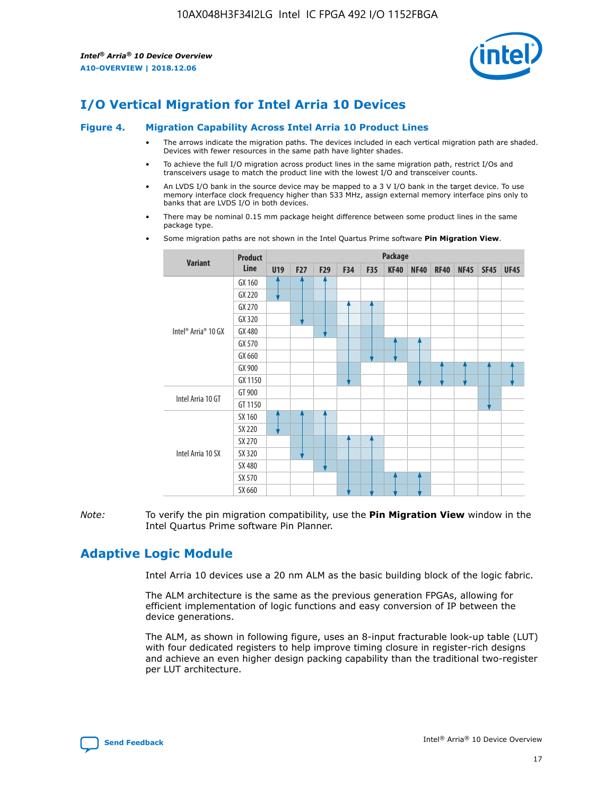

# **I/O Vertical Migration for Intel Arria 10 Devices**

#### **Figure 4. Migration Capability Across Intel Arria 10 Product Lines**

- The arrows indicate the migration paths. The devices included in each vertical migration path are shaded. Devices with fewer resources in the same path have lighter shades.
- To achieve the full I/O migration across product lines in the same migration path, restrict I/Os and transceivers usage to match the product line with the lowest I/O and transceiver counts.
- An LVDS I/O bank in the source device may be mapped to a 3 V I/O bank in the target device. To use memory interface clock frequency higher than 533 MHz, assign external memory interface pins only to banks that are LVDS I/O in both devices.
- There may be nominal 0.15 mm package height difference between some product lines in the same package type.
	- **Variant Product Line Package U19 F27 F29 F34 F35 KF40 NF40 RF40 NF45 SF45 UF45** Intel® Arria® 10 GX GX 160 GX 220 GX 270 GX 320 GX 480 GX 570 GX 660 GX 900 GX 1150 Intel Arria 10 GT GT 900 GT 1150 Intel Arria 10 SX SX 160 SX 220 SX 270 SX 320 SX 480 SX 570 SX 660
- Some migration paths are not shown in the Intel Quartus Prime software **Pin Migration View**.

*Note:* To verify the pin migration compatibility, use the **Pin Migration View** window in the Intel Quartus Prime software Pin Planner.

# **Adaptive Logic Module**

Intel Arria 10 devices use a 20 nm ALM as the basic building block of the logic fabric.

The ALM architecture is the same as the previous generation FPGAs, allowing for efficient implementation of logic functions and easy conversion of IP between the device generations.

The ALM, as shown in following figure, uses an 8-input fracturable look-up table (LUT) with four dedicated registers to help improve timing closure in register-rich designs and achieve an even higher design packing capability than the traditional two-register per LUT architecture.

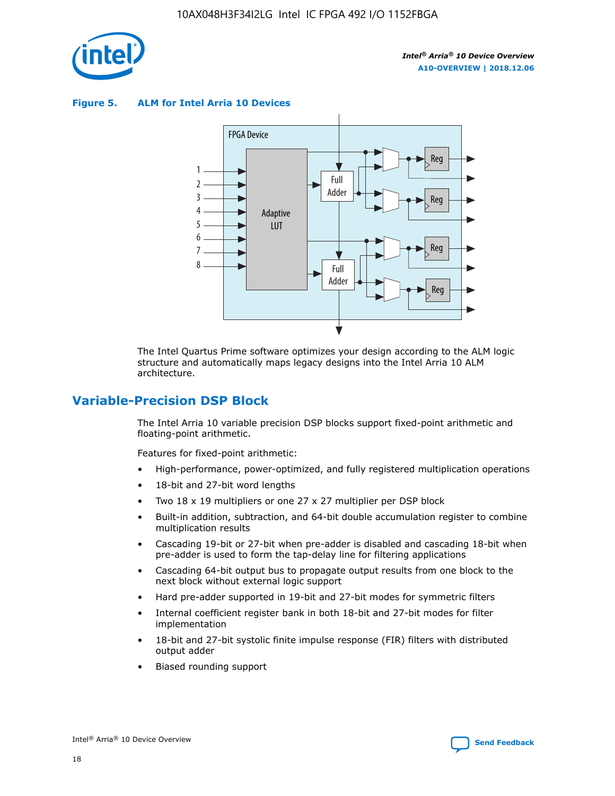

**Figure 5. ALM for Intel Arria 10 Devices**



The Intel Quartus Prime software optimizes your design according to the ALM logic structure and automatically maps legacy designs into the Intel Arria 10 ALM architecture.

## **Variable-Precision DSP Block**

The Intel Arria 10 variable precision DSP blocks support fixed-point arithmetic and floating-point arithmetic.

Features for fixed-point arithmetic:

- High-performance, power-optimized, and fully registered multiplication operations
- 18-bit and 27-bit word lengths
- Two 18 x 19 multipliers or one 27 x 27 multiplier per DSP block
- Built-in addition, subtraction, and 64-bit double accumulation register to combine multiplication results
- Cascading 19-bit or 27-bit when pre-adder is disabled and cascading 18-bit when pre-adder is used to form the tap-delay line for filtering applications
- Cascading 64-bit output bus to propagate output results from one block to the next block without external logic support
- Hard pre-adder supported in 19-bit and 27-bit modes for symmetric filters
- Internal coefficient register bank in both 18-bit and 27-bit modes for filter implementation
- 18-bit and 27-bit systolic finite impulse response (FIR) filters with distributed output adder
- Biased rounding support

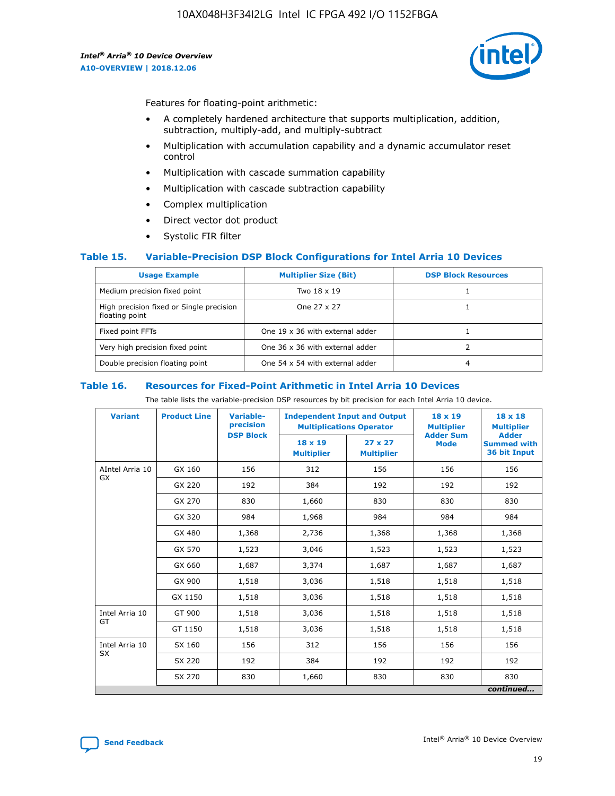

Features for floating-point arithmetic:

- A completely hardened architecture that supports multiplication, addition, subtraction, multiply-add, and multiply-subtract
- Multiplication with accumulation capability and a dynamic accumulator reset control
- Multiplication with cascade summation capability
- Multiplication with cascade subtraction capability
- Complex multiplication
- Direct vector dot product
- Systolic FIR filter

### **Table 15. Variable-Precision DSP Block Configurations for Intel Arria 10 Devices**

| <b>Usage Example</b>                                       | <b>Multiplier Size (Bit)</b>    | <b>DSP Block Resources</b> |
|------------------------------------------------------------|---------------------------------|----------------------------|
| Medium precision fixed point                               | Two 18 x 19                     |                            |
| High precision fixed or Single precision<br>floating point | One 27 x 27                     |                            |
| Fixed point FFTs                                           | One 19 x 36 with external adder |                            |
| Very high precision fixed point                            | One 36 x 36 with external adder |                            |
| Double precision floating point                            | One 54 x 54 with external adder | 4                          |

#### **Table 16. Resources for Fixed-Point Arithmetic in Intel Arria 10 Devices**

The table lists the variable-precision DSP resources by bit precision for each Intel Arria 10 device.

| <b>Variant</b>  | <b>Product Line</b> | Variable-<br>precision | <b>Independent Input and Output</b><br><b>Multiplications Operator</b> |                                     | $18 \times 19$<br><b>Multiplier</b><br><b>Adder Sum</b> | $18 \times 18$<br><b>Multiplier</b>                |
|-----------------|---------------------|------------------------|------------------------------------------------------------------------|-------------------------------------|---------------------------------------------------------|----------------------------------------------------|
|                 |                     | <b>DSP Block</b>       | 18 x 19<br><b>Multiplier</b>                                           | $27 \times 27$<br><b>Multiplier</b> | <b>Mode</b>                                             | <b>Adder</b><br><b>Summed with</b><br>36 bit Input |
| AIntel Arria 10 | GX 160              | 156                    | 312                                                                    | 156                                 | 156                                                     | 156                                                |
| GX              | GX 220              | 192                    | 384                                                                    | 192                                 | 192                                                     | 192                                                |
|                 | GX 270              | 830                    | 1,660                                                                  | 830                                 | 830                                                     | 830                                                |
|                 | GX 320              | 984                    | 1,968                                                                  | 984                                 | 984                                                     | 984                                                |
|                 | GX 480              | 1,368                  | 2,736                                                                  | 1,368                               | 1,368                                                   | 1,368                                              |
|                 | GX 570              | 1,523                  | 3,046                                                                  | 1,523                               | 1,523                                                   | 1,523                                              |
|                 | GX 660              | 1,687                  | 3,374                                                                  | 1,687                               | 1,687                                                   | 1,687                                              |
|                 | GX 900              | 1,518                  | 3,036                                                                  | 1,518                               | 1,518                                                   | 1,518                                              |
|                 | GX 1150             | 1,518                  | 3,036                                                                  | 1,518                               | 1,518                                                   | 1,518                                              |
| Intel Arria 10  | GT 900              | 1,518                  | 3,036                                                                  | 1,518                               | 1,518                                                   | 1,518                                              |
| GT              | GT 1150             | 1,518                  | 3,036                                                                  | 1,518                               | 1,518                                                   | 1,518                                              |
| Intel Arria 10  | SX 160              | 156                    | 312                                                                    | 156                                 | 156                                                     | 156                                                |
| <b>SX</b>       | SX 220              | 192                    | 384                                                                    | 192                                 | 192                                                     | 192                                                |
|                 | SX 270              | 830                    | 1,660                                                                  | 830                                 | 830                                                     | 830                                                |
|                 |                     |                        |                                                                        |                                     |                                                         | continued                                          |

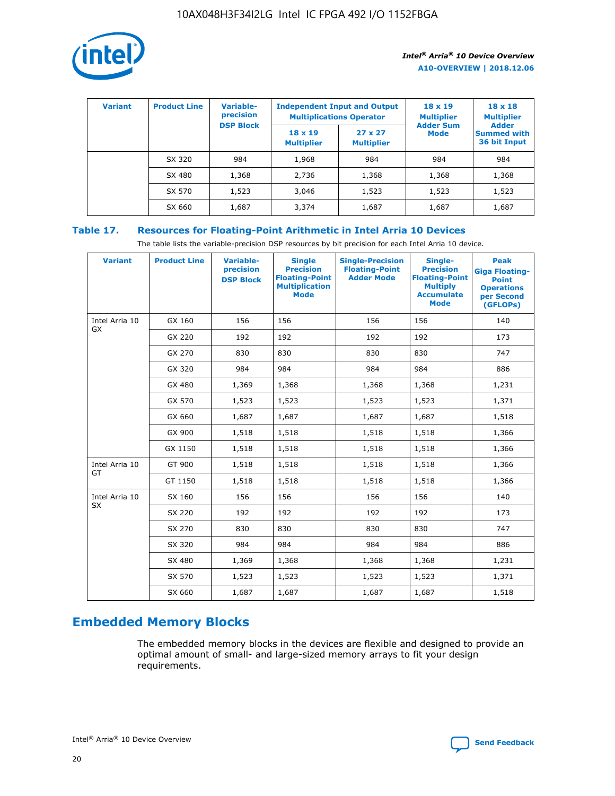

| <b>Variant</b> | <b>Product Line</b> | <b>Variable-</b><br>precision<br><b>DSP Block</b> | <b>Independent Input and Output</b><br><b>Multiplications Operator</b> |                                     | $18 \times 19$<br><b>Multiplier</b><br><b>Adder Sum</b> | $18 \times 18$<br><b>Multiplier</b><br><b>Adder</b> |  |
|----------------|---------------------|---------------------------------------------------|------------------------------------------------------------------------|-------------------------------------|---------------------------------------------------------|-----------------------------------------------------|--|
|                |                     |                                                   | $18 \times 19$<br><b>Multiplier</b>                                    | $27 \times 27$<br><b>Multiplier</b> | <b>Mode</b>                                             | <b>Summed with</b><br>36 bit Input                  |  |
|                | SX 320              | 984                                               | 1,968                                                                  | 984                                 | 984                                                     | 984                                                 |  |
|                | SX 480              | 1,368                                             | 2,736                                                                  | 1,368                               | 1,368                                                   | 1,368                                               |  |
|                | SX 570              | 1,523                                             | 3,046                                                                  | 1,523                               | 1,523                                                   | 1,523                                               |  |
|                | SX 660              | 1,687                                             | 3,374                                                                  | 1,687                               | 1,687                                                   | 1,687                                               |  |

## **Table 17. Resources for Floating-Point Arithmetic in Intel Arria 10 Devices**

The table lists the variable-precision DSP resources by bit precision for each Intel Arria 10 device.

| <b>Variant</b> | <b>Product Line</b> | <b>Variable-</b><br>precision<br><b>DSP Block</b> | <b>Single</b><br><b>Precision</b><br><b>Floating-Point</b><br><b>Multiplication</b><br><b>Mode</b> | <b>Single-Precision</b><br><b>Floating-Point</b><br><b>Adder Mode</b> | Single-<br><b>Precision</b><br><b>Floating-Point</b><br><b>Multiply</b><br><b>Accumulate</b><br><b>Mode</b> | <b>Peak</b><br><b>Giga Floating-</b><br><b>Point</b><br><b>Operations</b><br>per Second<br>(GFLOPs) |
|----------------|---------------------|---------------------------------------------------|----------------------------------------------------------------------------------------------------|-----------------------------------------------------------------------|-------------------------------------------------------------------------------------------------------------|-----------------------------------------------------------------------------------------------------|
| Intel Arria 10 | GX 160              | 156                                               | 156                                                                                                | 156                                                                   | 156                                                                                                         | 140                                                                                                 |
| GX             | GX 220              | 192                                               | 192                                                                                                | 192                                                                   | 192                                                                                                         | 173                                                                                                 |
|                | GX 270              | 830                                               | 830                                                                                                | 830                                                                   | 830                                                                                                         | 747                                                                                                 |
|                | GX 320              | 984                                               | 984                                                                                                | 984                                                                   | 984                                                                                                         | 886                                                                                                 |
|                | GX 480              | 1,369                                             | 1,368                                                                                              | 1,368                                                                 | 1,368                                                                                                       | 1,231                                                                                               |
|                | GX 570              | 1,523                                             | 1,523                                                                                              | 1,523                                                                 | 1,523                                                                                                       | 1,371                                                                                               |
|                | GX 660              | 1,687                                             | 1,687                                                                                              | 1,687                                                                 | 1,687                                                                                                       | 1,518                                                                                               |
|                | GX 900              | 1,518                                             | 1,518                                                                                              | 1,518                                                                 | 1,518                                                                                                       | 1,366                                                                                               |
|                | GX 1150             | 1,518                                             | 1,518                                                                                              | 1,518                                                                 | 1,518                                                                                                       | 1,366                                                                                               |
| Intel Arria 10 | GT 900              | 1,518                                             | 1,518                                                                                              | 1,518                                                                 | 1,518                                                                                                       | 1,366                                                                                               |
| GT             | GT 1150             | 1,518                                             | 1,518                                                                                              | 1,518                                                                 | 1,518                                                                                                       | 1,366                                                                                               |
| Intel Arria 10 | SX 160              | 156                                               | 156                                                                                                | 156                                                                   | 156                                                                                                         | 140                                                                                                 |
| SX             | SX 220              | 192                                               | 192                                                                                                | 192                                                                   | 192                                                                                                         | 173                                                                                                 |
|                | SX 270              | 830                                               | 830                                                                                                | 830                                                                   | 830                                                                                                         | 747                                                                                                 |
|                | SX 320              | 984                                               | 984                                                                                                | 984                                                                   | 984                                                                                                         | 886                                                                                                 |
|                | SX 480              | 1,369                                             | 1,368                                                                                              | 1,368                                                                 | 1,368                                                                                                       | 1,231                                                                                               |
|                | SX 570              | 1,523                                             | 1,523                                                                                              | 1,523                                                                 | 1,523                                                                                                       | 1,371                                                                                               |
|                | SX 660              | 1,687                                             | 1,687                                                                                              | 1,687                                                                 | 1,687                                                                                                       | 1,518                                                                                               |

# **Embedded Memory Blocks**

The embedded memory blocks in the devices are flexible and designed to provide an optimal amount of small- and large-sized memory arrays to fit your design requirements.

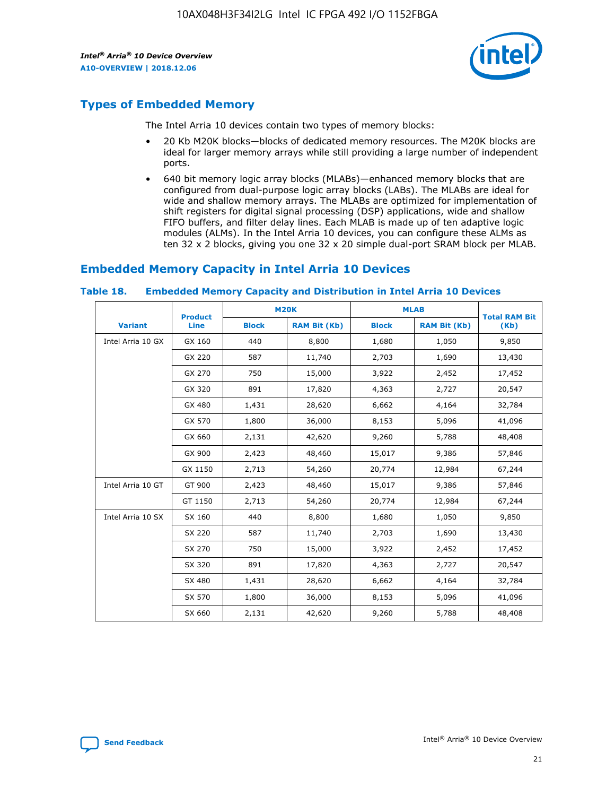

# **Types of Embedded Memory**

The Intel Arria 10 devices contain two types of memory blocks:

- 20 Kb M20K blocks—blocks of dedicated memory resources. The M20K blocks are ideal for larger memory arrays while still providing a large number of independent ports.
- 640 bit memory logic array blocks (MLABs)—enhanced memory blocks that are configured from dual-purpose logic array blocks (LABs). The MLABs are ideal for wide and shallow memory arrays. The MLABs are optimized for implementation of shift registers for digital signal processing (DSP) applications, wide and shallow FIFO buffers, and filter delay lines. Each MLAB is made up of ten adaptive logic modules (ALMs). In the Intel Arria 10 devices, you can configure these ALMs as ten 32 x 2 blocks, giving you one 32 x 20 simple dual-port SRAM block per MLAB.

## **Embedded Memory Capacity in Intel Arria 10 Devices**

|                   | <b>Product</b> |              | <b>M20K</b>         | <b>MLAB</b>  |                     | <b>Total RAM Bit</b> |
|-------------------|----------------|--------------|---------------------|--------------|---------------------|----------------------|
| <b>Variant</b>    | Line           | <b>Block</b> | <b>RAM Bit (Kb)</b> | <b>Block</b> | <b>RAM Bit (Kb)</b> | (Kb)                 |
| Intel Arria 10 GX | GX 160         | 440          | 8,800               | 1,680        | 1,050               | 9,850                |
|                   | GX 220         | 587          | 11,740              | 2,703        | 1,690               | 13,430               |
|                   | GX 270         | 750          | 15,000              | 3,922        | 2,452               | 17,452               |
|                   | GX 320         | 891          | 17,820              | 4,363        | 2,727               | 20,547               |
|                   | GX 480         | 1,431        | 28,620              | 6,662        | 4,164               | 32,784               |
|                   | GX 570         | 1,800        | 36,000              | 8,153        | 5,096               | 41,096               |
|                   | GX 660         | 2,131        | 42,620              | 9,260        | 5,788               | 48,408               |
|                   | GX 900         | 2,423        | 48,460              | 15,017       | 9,386               | 57,846               |
|                   | GX 1150        | 2,713        | 54,260              | 20,774       | 12,984              | 67,244               |
| Intel Arria 10 GT | GT 900         | 2,423        | 48,460              | 15,017       | 9,386               | 57,846               |
|                   | GT 1150        | 2,713        | 54,260              | 20,774       | 12,984              | 67,244               |
| Intel Arria 10 SX | SX 160         | 440          | 8,800               | 1,680        | 1,050               | 9,850                |
|                   | SX 220         | 587          | 11,740              | 2,703        | 1,690               | 13,430               |
|                   | SX 270         | 750          | 15,000              | 3,922        | 2,452               | 17,452               |
|                   | SX 320         | 891          | 17,820              | 4,363        | 2,727               | 20,547               |
|                   | SX 480         | 1,431        | 28,620              | 6,662        | 4,164               | 32,784               |
|                   | SX 570         | 1,800        | 36,000              | 8,153        | 5,096               | 41,096               |
|                   | SX 660         | 2,131        | 42,620              | 9,260        | 5,788               | 48,408               |

#### **Table 18. Embedded Memory Capacity and Distribution in Intel Arria 10 Devices**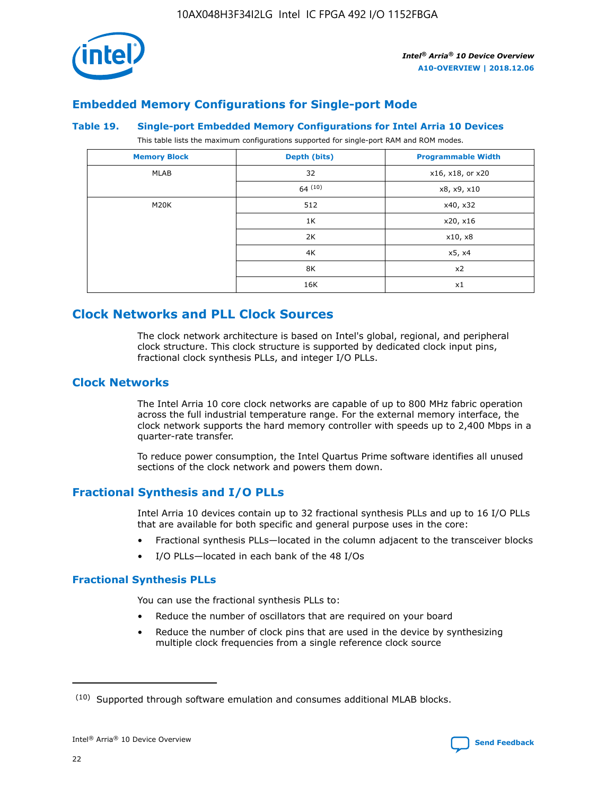

## **Embedded Memory Configurations for Single-port Mode**

#### **Table 19. Single-port Embedded Memory Configurations for Intel Arria 10 Devices**

This table lists the maximum configurations supported for single-port RAM and ROM modes.

| <b>Memory Block</b> | Depth (bits) | <b>Programmable Width</b> |
|---------------------|--------------|---------------------------|
| MLAB                | 32           | x16, x18, or x20          |
|                     | 64(10)       | x8, x9, x10               |
| M20K                | 512          | x40, x32                  |
|                     | 1K           | x20, x16                  |
|                     | 2K           | x10, x8                   |
|                     | 4K           | x5, x4                    |
|                     | 8K           | x2                        |
|                     | 16K          | x1                        |

# **Clock Networks and PLL Clock Sources**

The clock network architecture is based on Intel's global, regional, and peripheral clock structure. This clock structure is supported by dedicated clock input pins, fractional clock synthesis PLLs, and integer I/O PLLs.

## **Clock Networks**

The Intel Arria 10 core clock networks are capable of up to 800 MHz fabric operation across the full industrial temperature range. For the external memory interface, the clock network supports the hard memory controller with speeds up to 2,400 Mbps in a quarter-rate transfer.

To reduce power consumption, the Intel Quartus Prime software identifies all unused sections of the clock network and powers them down.

## **Fractional Synthesis and I/O PLLs**

Intel Arria 10 devices contain up to 32 fractional synthesis PLLs and up to 16 I/O PLLs that are available for both specific and general purpose uses in the core:

- Fractional synthesis PLLs—located in the column adjacent to the transceiver blocks
- I/O PLLs—located in each bank of the 48 I/Os

## **Fractional Synthesis PLLs**

You can use the fractional synthesis PLLs to:

- Reduce the number of oscillators that are required on your board
- Reduce the number of clock pins that are used in the device by synthesizing multiple clock frequencies from a single reference clock source

<sup>(10)</sup> Supported through software emulation and consumes additional MLAB blocks.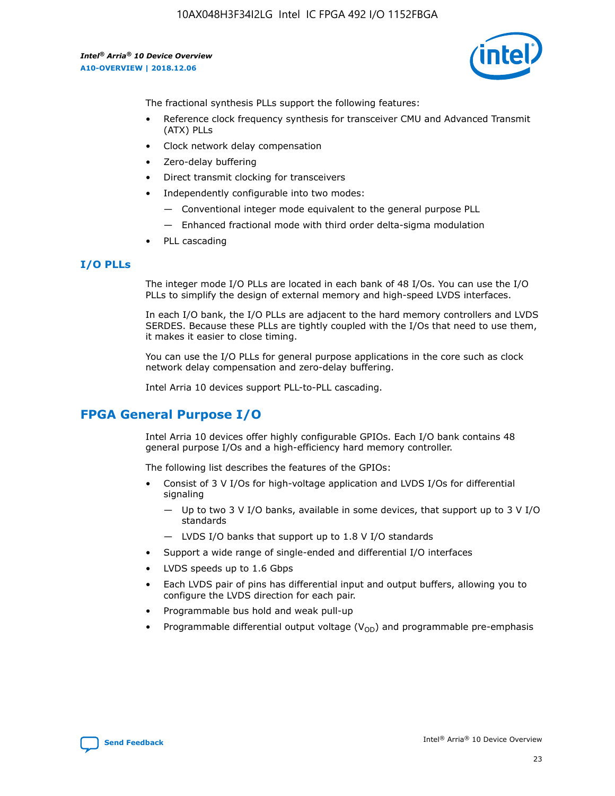

The fractional synthesis PLLs support the following features:

- Reference clock frequency synthesis for transceiver CMU and Advanced Transmit (ATX) PLLs
- Clock network delay compensation
- Zero-delay buffering
- Direct transmit clocking for transceivers
- Independently configurable into two modes:
	- Conventional integer mode equivalent to the general purpose PLL
	- Enhanced fractional mode with third order delta-sigma modulation
- PLL cascading

## **I/O PLLs**

The integer mode I/O PLLs are located in each bank of 48 I/Os. You can use the I/O PLLs to simplify the design of external memory and high-speed LVDS interfaces.

In each I/O bank, the I/O PLLs are adjacent to the hard memory controllers and LVDS SERDES. Because these PLLs are tightly coupled with the I/Os that need to use them, it makes it easier to close timing.

You can use the I/O PLLs for general purpose applications in the core such as clock network delay compensation and zero-delay buffering.

Intel Arria 10 devices support PLL-to-PLL cascading.

# **FPGA General Purpose I/O**

Intel Arria 10 devices offer highly configurable GPIOs. Each I/O bank contains 48 general purpose I/Os and a high-efficiency hard memory controller.

The following list describes the features of the GPIOs:

- Consist of 3 V I/Os for high-voltage application and LVDS I/Os for differential signaling
	- Up to two 3 V I/O banks, available in some devices, that support up to 3 V I/O standards
	- LVDS I/O banks that support up to 1.8 V I/O standards
- Support a wide range of single-ended and differential I/O interfaces
- LVDS speeds up to 1.6 Gbps
- Each LVDS pair of pins has differential input and output buffers, allowing you to configure the LVDS direction for each pair.
- Programmable bus hold and weak pull-up
- Programmable differential output voltage  $(V_{OD})$  and programmable pre-emphasis

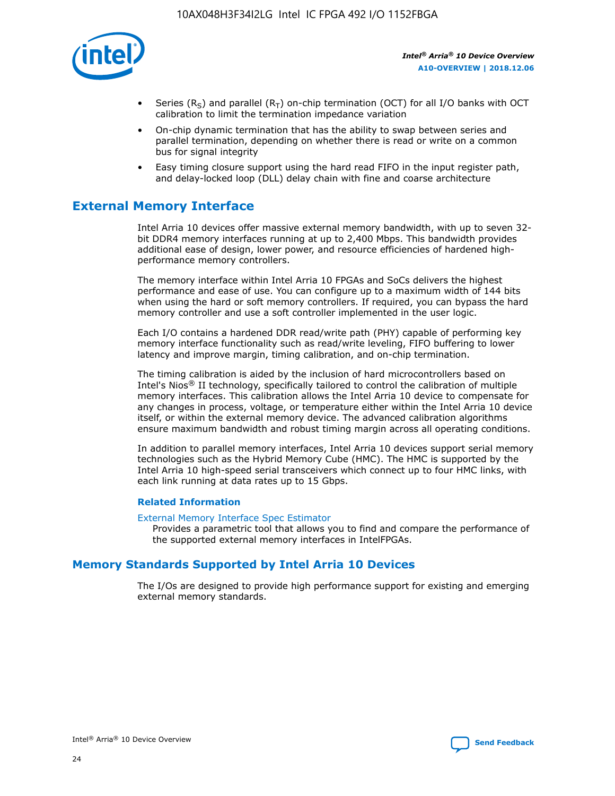

- Series (R<sub>S</sub>) and parallel (R<sub>T</sub>) on-chip termination (OCT) for all I/O banks with OCT calibration to limit the termination impedance variation
- On-chip dynamic termination that has the ability to swap between series and parallel termination, depending on whether there is read or write on a common bus for signal integrity
- Easy timing closure support using the hard read FIFO in the input register path, and delay-locked loop (DLL) delay chain with fine and coarse architecture

# **External Memory Interface**

Intel Arria 10 devices offer massive external memory bandwidth, with up to seven 32 bit DDR4 memory interfaces running at up to 2,400 Mbps. This bandwidth provides additional ease of design, lower power, and resource efficiencies of hardened highperformance memory controllers.

The memory interface within Intel Arria 10 FPGAs and SoCs delivers the highest performance and ease of use. You can configure up to a maximum width of 144 bits when using the hard or soft memory controllers. If required, you can bypass the hard memory controller and use a soft controller implemented in the user logic.

Each I/O contains a hardened DDR read/write path (PHY) capable of performing key memory interface functionality such as read/write leveling, FIFO buffering to lower latency and improve margin, timing calibration, and on-chip termination.

The timing calibration is aided by the inclusion of hard microcontrollers based on Intel's Nios® II technology, specifically tailored to control the calibration of multiple memory interfaces. This calibration allows the Intel Arria 10 device to compensate for any changes in process, voltage, or temperature either within the Intel Arria 10 device itself, or within the external memory device. The advanced calibration algorithms ensure maximum bandwidth and robust timing margin across all operating conditions.

In addition to parallel memory interfaces, Intel Arria 10 devices support serial memory technologies such as the Hybrid Memory Cube (HMC). The HMC is supported by the Intel Arria 10 high-speed serial transceivers which connect up to four HMC links, with each link running at data rates up to 15 Gbps.

### **Related Information**

#### [External Memory Interface Spec Estimator](http://www.altera.com/technology/memory/estimator/mem-emif-index.html)

Provides a parametric tool that allows you to find and compare the performance of the supported external memory interfaces in IntelFPGAs.

## **Memory Standards Supported by Intel Arria 10 Devices**

The I/Os are designed to provide high performance support for existing and emerging external memory standards.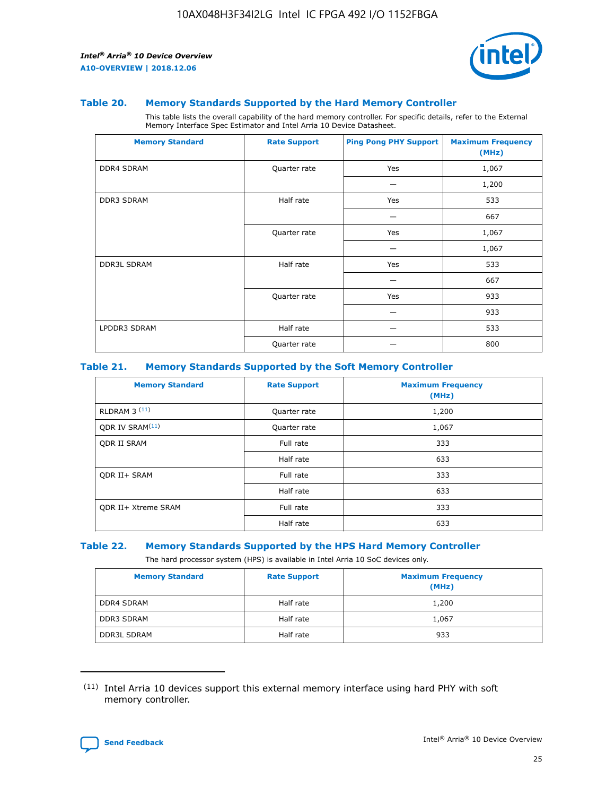

#### **Table 20. Memory Standards Supported by the Hard Memory Controller**

This table lists the overall capability of the hard memory controller. For specific details, refer to the External Memory Interface Spec Estimator and Intel Arria 10 Device Datasheet.

| <b>Memory Standard</b> | <b>Rate Support</b> | <b>Ping Pong PHY Support</b> | <b>Maximum Frequency</b><br>(MHz) |
|------------------------|---------------------|------------------------------|-----------------------------------|
| <b>DDR4 SDRAM</b>      | Quarter rate        | Yes                          | 1,067                             |
|                        |                     |                              | 1,200                             |
| DDR3 SDRAM             | Half rate           | Yes                          | 533                               |
|                        |                     |                              | 667                               |
|                        | Quarter rate        | Yes                          | 1,067                             |
|                        |                     |                              | 1,067                             |
| <b>DDR3L SDRAM</b>     | Half rate           | Yes                          | 533                               |
|                        |                     |                              | 667                               |
|                        | Quarter rate        | Yes                          | 933                               |
|                        |                     |                              | 933                               |
| LPDDR3 SDRAM           | Half rate           |                              | 533                               |
|                        | Quarter rate        |                              | 800                               |

#### **Table 21. Memory Standards Supported by the Soft Memory Controller**

| <b>Memory Standard</b>      | <b>Rate Support</b> | <b>Maximum Frequency</b><br>(MHz) |
|-----------------------------|---------------------|-----------------------------------|
| <b>RLDRAM 3 (11)</b>        | Quarter rate        | 1,200                             |
| ODR IV SRAM <sup>(11)</sup> | Quarter rate        | 1,067                             |
| <b>ODR II SRAM</b>          | Full rate           | 333                               |
|                             | Half rate           | 633                               |
| <b>ODR II+ SRAM</b>         | Full rate           | 333                               |
|                             | Half rate           | 633                               |
| <b>ODR II+ Xtreme SRAM</b>  | Full rate           | 333                               |
|                             | Half rate           | 633                               |

#### **Table 22. Memory Standards Supported by the HPS Hard Memory Controller**

The hard processor system (HPS) is available in Intel Arria 10 SoC devices only.

| <b>Memory Standard</b> | <b>Rate Support</b> | <b>Maximum Frequency</b><br>(MHz) |
|------------------------|---------------------|-----------------------------------|
| <b>DDR4 SDRAM</b>      | Half rate           | 1,200                             |
| <b>DDR3 SDRAM</b>      | Half rate           | 1,067                             |
| <b>DDR3L SDRAM</b>     | Half rate           | 933                               |

<sup>(11)</sup> Intel Arria 10 devices support this external memory interface using hard PHY with soft memory controller.

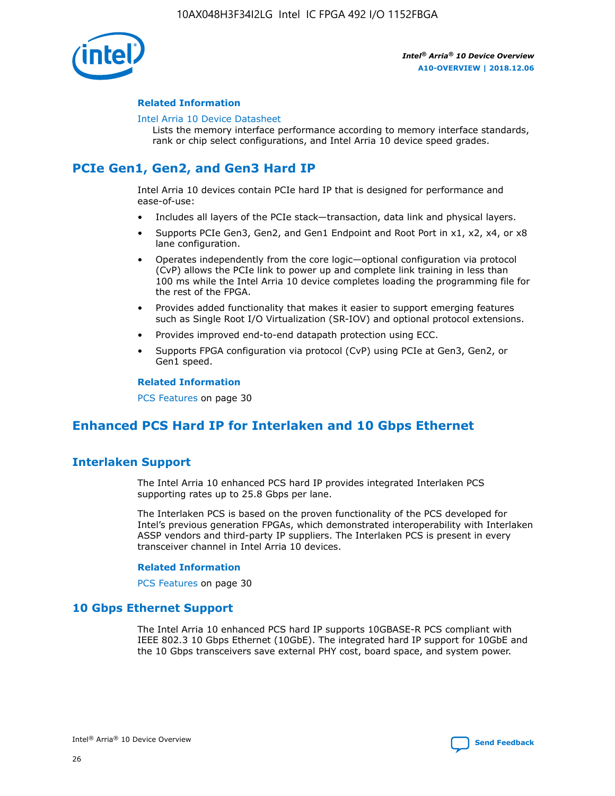

### **Related Information**

#### [Intel Arria 10 Device Datasheet](https://www.intel.com/content/www/us/en/programmable/documentation/mcn1413182292568.html#mcn1413182153340)

Lists the memory interface performance according to memory interface standards, rank or chip select configurations, and Intel Arria 10 device speed grades.

# **PCIe Gen1, Gen2, and Gen3 Hard IP**

Intel Arria 10 devices contain PCIe hard IP that is designed for performance and ease-of-use:

- Includes all layers of the PCIe stack—transaction, data link and physical layers.
- Supports PCIe Gen3, Gen2, and Gen1 Endpoint and Root Port in x1, x2, x4, or x8 lane configuration.
- Operates independently from the core logic—optional configuration via protocol (CvP) allows the PCIe link to power up and complete link training in less than 100 ms while the Intel Arria 10 device completes loading the programming file for the rest of the FPGA.
- Provides added functionality that makes it easier to support emerging features such as Single Root I/O Virtualization (SR-IOV) and optional protocol extensions.
- Provides improved end-to-end datapath protection using ECC.
- Supports FPGA configuration via protocol (CvP) using PCIe at Gen3, Gen2, or Gen1 speed.

#### **Related Information**

PCS Features on page 30

# **Enhanced PCS Hard IP for Interlaken and 10 Gbps Ethernet**

## **Interlaken Support**

The Intel Arria 10 enhanced PCS hard IP provides integrated Interlaken PCS supporting rates up to 25.8 Gbps per lane.

The Interlaken PCS is based on the proven functionality of the PCS developed for Intel's previous generation FPGAs, which demonstrated interoperability with Interlaken ASSP vendors and third-party IP suppliers. The Interlaken PCS is present in every transceiver channel in Intel Arria 10 devices.

### **Related Information**

PCS Features on page 30

## **10 Gbps Ethernet Support**

The Intel Arria 10 enhanced PCS hard IP supports 10GBASE-R PCS compliant with IEEE 802.3 10 Gbps Ethernet (10GbE). The integrated hard IP support for 10GbE and the 10 Gbps transceivers save external PHY cost, board space, and system power.

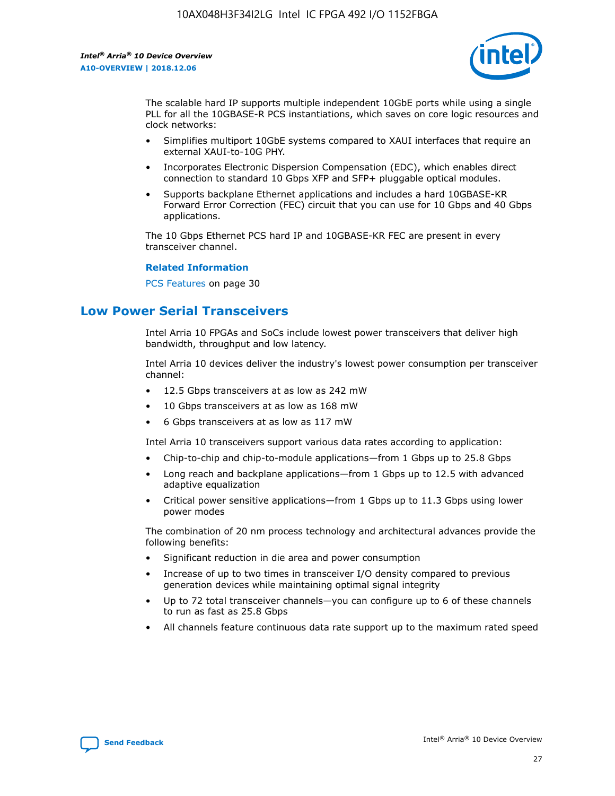

The scalable hard IP supports multiple independent 10GbE ports while using a single PLL for all the 10GBASE-R PCS instantiations, which saves on core logic resources and clock networks:

- Simplifies multiport 10GbE systems compared to XAUI interfaces that require an external XAUI-to-10G PHY.
- Incorporates Electronic Dispersion Compensation (EDC), which enables direct connection to standard 10 Gbps XFP and SFP+ pluggable optical modules.
- Supports backplane Ethernet applications and includes a hard 10GBASE-KR Forward Error Correction (FEC) circuit that you can use for 10 Gbps and 40 Gbps applications.

The 10 Gbps Ethernet PCS hard IP and 10GBASE-KR FEC are present in every transceiver channel.

#### **Related Information**

PCS Features on page 30

# **Low Power Serial Transceivers**

Intel Arria 10 FPGAs and SoCs include lowest power transceivers that deliver high bandwidth, throughput and low latency.

Intel Arria 10 devices deliver the industry's lowest power consumption per transceiver channel:

- 12.5 Gbps transceivers at as low as 242 mW
- 10 Gbps transceivers at as low as 168 mW
- 6 Gbps transceivers at as low as 117 mW

Intel Arria 10 transceivers support various data rates according to application:

- Chip-to-chip and chip-to-module applications—from 1 Gbps up to 25.8 Gbps
- Long reach and backplane applications—from 1 Gbps up to 12.5 with advanced adaptive equalization
- Critical power sensitive applications—from 1 Gbps up to 11.3 Gbps using lower power modes

The combination of 20 nm process technology and architectural advances provide the following benefits:

- Significant reduction in die area and power consumption
- Increase of up to two times in transceiver I/O density compared to previous generation devices while maintaining optimal signal integrity
- Up to 72 total transceiver channels—you can configure up to 6 of these channels to run as fast as 25.8 Gbps
- All channels feature continuous data rate support up to the maximum rated speed

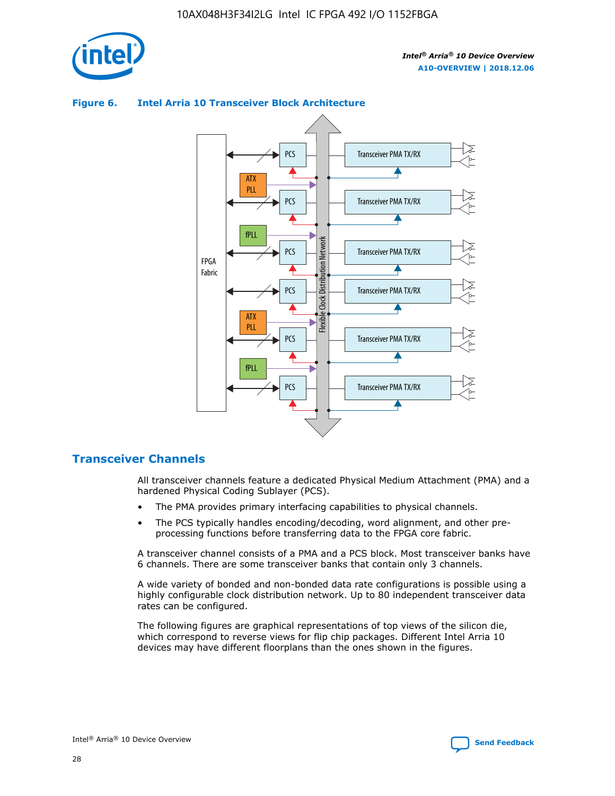

# **Figure 6. Intel Arria 10 Transceiver Block Architecture**



## **Transceiver Channels**

All transceiver channels feature a dedicated Physical Medium Attachment (PMA) and a hardened Physical Coding Sublayer (PCS).

- The PMA provides primary interfacing capabilities to physical channels.
- The PCS typically handles encoding/decoding, word alignment, and other preprocessing functions before transferring data to the FPGA core fabric.

A transceiver channel consists of a PMA and a PCS block. Most transceiver banks have 6 channels. There are some transceiver banks that contain only 3 channels.

A wide variety of bonded and non-bonded data rate configurations is possible using a highly configurable clock distribution network. Up to 80 independent transceiver data rates can be configured.

The following figures are graphical representations of top views of the silicon die, which correspond to reverse views for flip chip packages. Different Intel Arria 10 devices may have different floorplans than the ones shown in the figures.

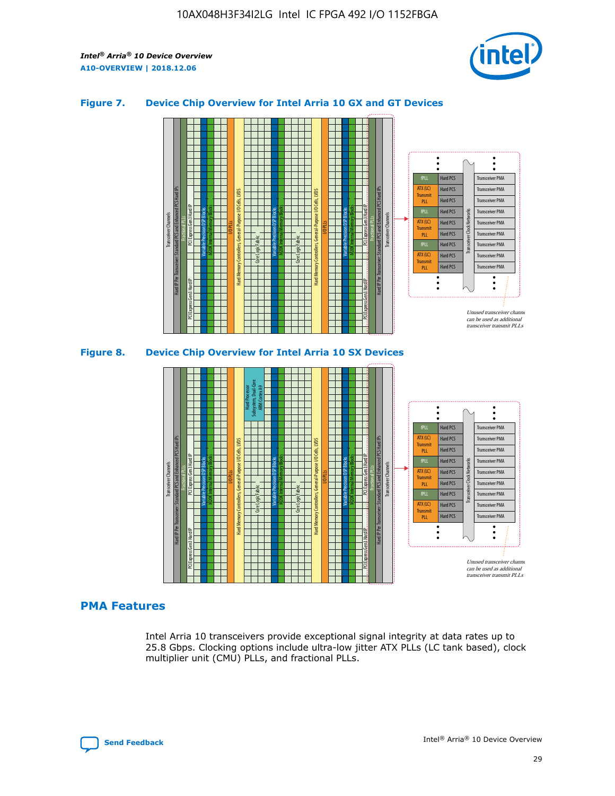

## **Figure 7. Device Chip Overview for Intel Arria 10 GX and GT Devices**



### **PMA Features**

Intel Arria 10 transceivers provide exceptional signal integrity at data rates up to 25.8 Gbps. Clocking options include ultra-low jitter ATX PLLs (LC tank based), clock multiplier unit (CMU) PLLs, and fractional PLLs.

Hard PCS Hard PCS Hard PCS Hard PCS Hard PCS

ATX (LC) Transmi PLL fPLL ATX (LC) **Transmit** PLL

Transceiver PMA Transceiver PMA Transceiver PMA

Transceiver Clock Networks

Transceiver PMA Transceiver PMA

Unused transceiver chann can be used as additional transceiver transmit PLLs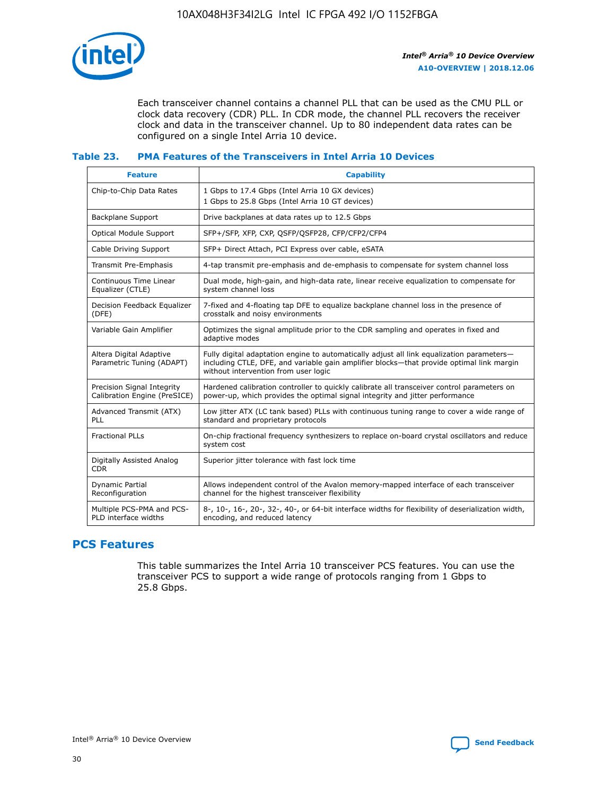

Each transceiver channel contains a channel PLL that can be used as the CMU PLL or clock data recovery (CDR) PLL. In CDR mode, the channel PLL recovers the receiver clock and data in the transceiver channel. Up to 80 independent data rates can be configured on a single Intel Arria 10 device.

## **Table 23. PMA Features of the Transceivers in Intel Arria 10 Devices**

| <b>Feature</b>                                             | <b>Capability</b>                                                                                                                                                                                                             |
|------------------------------------------------------------|-------------------------------------------------------------------------------------------------------------------------------------------------------------------------------------------------------------------------------|
| Chip-to-Chip Data Rates                                    | 1 Gbps to 17.4 Gbps (Intel Arria 10 GX devices)<br>1 Gbps to 25.8 Gbps (Intel Arria 10 GT devices)                                                                                                                            |
| Backplane Support                                          | Drive backplanes at data rates up to 12.5 Gbps                                                                                                                                                                                |
| Optical Module Support                                     | SFP+/SFP, XFP, CXP, QSFP/QSFP28, CFP/CFP2/CFP4                                                                                                                                                                                |
| Cable Driving Support                                      | SFP+ Direct Attach, PCI Express over cable, eSATA                                                                                                                                                                             |
| Transmit Pre-Emphasis                                      | 4-tap transmit pre-emphasis and de-emphasis to compensate for system channel loss                                                                                                                                             |
| Continuous Time Linear<br>Equalizer (CTLE)                 | Dual mode, high-gain, and high-data rate, linear receive equalization to compensate for<br>system channel loss                                                                                                                |
| Decision Feedback Equalizer<br>(DFE)                       | 7-fixed and 4-floating tap DFE to equalize backplane channel loss in the presence of<br>crosstalk and noisy environments                                                                                                      |
| Variable Gain Amplifier                                    | Optimizes the signal amplitude prior to the CDR sampling and operates in fixed and<br>adaptive modes                                                                                                                          |
| Altera Digital Adaptive<br>Parametric Tuning (ADAPT)       | Fully digital adaptation engine to automatically adjust all link equalization parameters-<br>including CTLE, DFE, and variable gain amplifier blocks—that provide optimal link margin<br>without intervention from user logic |
| Precision Signal Integrity<br>Calibration Engine (PreSICE) | Hardened calibration controller to quickly calibrate all transceiver control parameters on<br>power-up, which provides the optimal signal integrity and jitter performance                                                    |
| Advanced Transmit (ATX)<br><b>PLL</b>                      | Low jitter ATX (LC tank based) PLLs with continuous tuning range to cover a wide range of<br>standard and proprietary protocols                                                                                               |
| <b>Fractional PLLs</b>                                     | On-chip fractional frequency synthesizers to replace on-board crystal oscillators and reduce<br>system cost                                                                                                                   |
| Digitally Assisted Analog<br><b>CDR</b>                    | Superior jitter tolerance with fast lock time                                                                                                                                                                                 |
| Dynamic Partial<br>Reconfiguration                         | Allows independent control of the Avalon memory-mapped interface of each transceiver<br>channel for the highest transceiver flexibility                                                                                       |
| Multiple PCS-PMA and PCS-<br>PLD interface widths          | 8-, 10-, 16-, 20-, 32-, 40-, or 64-bit interface widths for flexibility of deserialization width,<br>encoding, and reduced latency                                                                                            |

## **PCS Features**

This table summarizes the Intel Arria 10 transceiver PCS features. You can use the transceiver PCS to support a wide range of protocols ranging from 1 Gbps to 25.8 Gbps.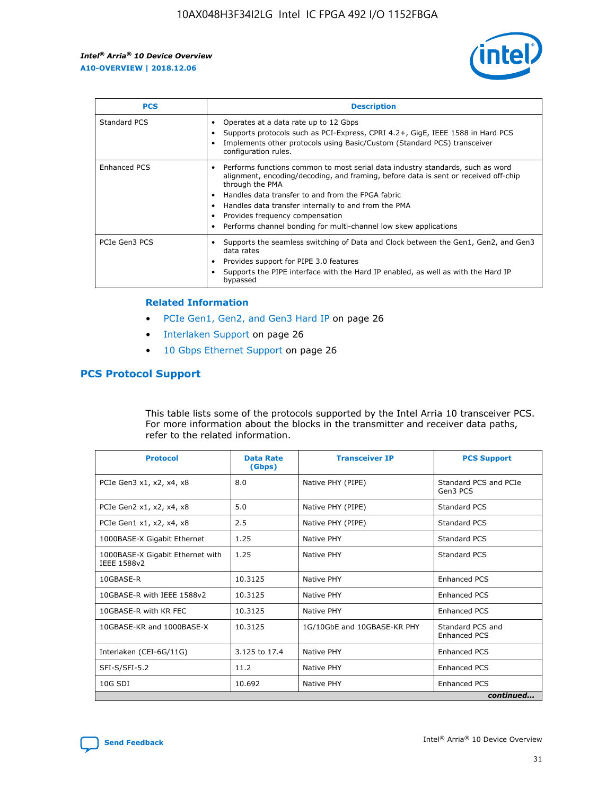

| <b>PCS</b>    | <b>Description</b>                                                                                                                                                                                                                                                                                                                                                                                             |
|---------------|----------------------------------------------------------------------------------------------------------------------------------------------------------------------------------------------------------------------------------------------------------------------------------------------------------------------------------------------------------------------------------------------------------------|
| Standard PCS  | Operates at a data rate up to 12 Gbps<br>Supports protocols such as PCI-Express, CPRI 4.2+, GigE, IEEE 1588 in Hard PCS<br>Implements other protocols using Basic/Custom (Standard PCS) transceiver<br>configuration rules.                                                                                                                                                                                    |
| Enhanced PCS  | Performs functions common to most serial data industry standards, such as word<br>alignment, encoding/decoding, and framing, before data is sent or received off-chip<br>through the PMA<br>• Handles data transfer to and from the FPGA fabric<br>Handles data transfer internally to and from the PMA<br>Provides frequency compensation<br>Performs channel bonding for multi-channel low skew applications |
| PCIe Gen3 PCS | Supports the seamless switching of Data and Clock between the Gen1, Gen2, and Gen3<br>data rates<br>Provides support for PIPE 3.0 features<br>Supports the PIPE interface with the Hard IP enabled, as well as with the Hard IP<br>bypassed                                                                                                                                                                    |

#### **Related Information**

- PCIe Gen1, Gen2, and Gen3 Hard IP on page 26
- Interlaken Support on page 26
- 10 Gbps Ethernet Support on page 26

## **PCS Protocol Support**

This table lists some of the protocols supported by the Intel Arria 10 transceiver PCS. For more information about the blocks in the transmitter and receiver data paths, refer to the related information.

| <b>Protocol</b>                                 | <b>Data Rate</b><br>(Gbps) | <b>Transceiver IP</b>       | <b>PCS Support</b>                      |
|-------------------------------------------------|----------------------------|-----------------------------|-----------------------------------------|
| PCIe Gen3 x1, x2, x4, x8                        | 8.0                        | Native PHY (PIPE)           | Standard PCS and PCIe<br>Gen3 PCS       |
| PCIe Gen2 x1, x2, x4, x8                        | 5.0                        | Native PHY (PIPE)           | <b>Standard PCS</b>                     |
| PCIe Gen1 x1, x2, x4, x8                        | 2.5                        | Native PHY (PIPE)           | Standard PCS                            |
| 1000BASE-X Gigabit Ethernet                     | 1.25                       | Native PHY                  | <b>Standard PCS</b>                     |
| 1000BASE-X Gigabit Ethernet with<br>IEEE 1588v2 | 1.25                       | Native PHY                  | Standard PCS                            |
| 10GBASE-R                                       | 10.3125                    | Native PHY                  | Enhanced PCS                            |
| 10GBASE-R with IEEE 1588v2                      | 10.3125                    | Native PHY                  | <b>Enhanced PCS</b>                     |
| 10GBASE-R with KR FEC                           | 10.3125                    | Native PHY                  | Enhanced PCS                            |
| 10GBASE-KR and 1000BASE-X                       | 10.3125                    | 1G/10GbE and 10GBASE-KR PHY | Standard PCS and<br><b>Enhanced PCS</b> |
| Interlaken (CEI-6G/11G)                         | 3.125 to 17.4              | Native PHY                  | <b>Enhanced PCS</b>                     |
| SFI-S/SFI-5.2                                   | 11.2                       | Native PHY                  | <b>Enhanced PCS</b>                     |
| 10G SDI                                         | 10.692                     | Native PHY                  | Enhanced PCS                            |
|                                                 |                            |                             | continued                               |

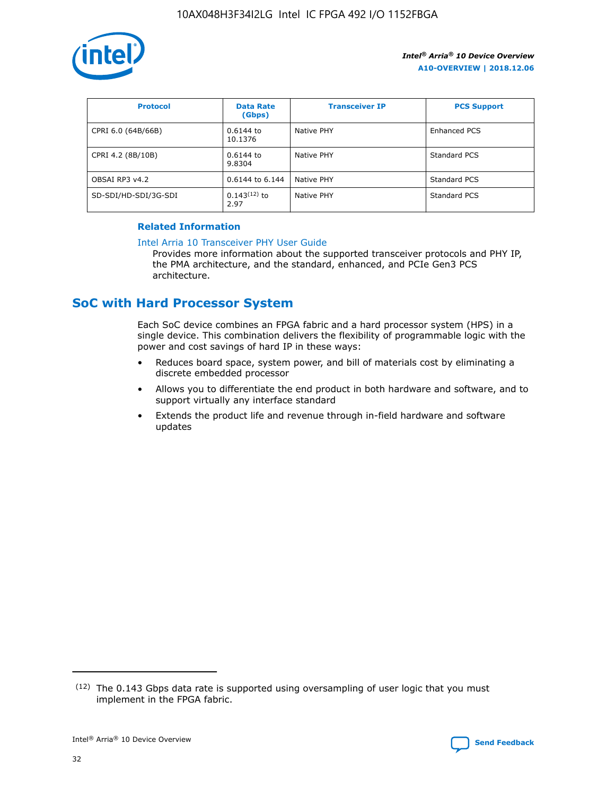

| <b>Protocol</b>      | <b>Data Rate</b><br>(Gbps) | <b>Transceiver IP</b> | <b>PCS Support</b> |
|----------------------|----------------------------|-----------------------|--------------------|
| CPRI 6.0 (64B/66B)   | 0.6144 to<br>10.1376       | Native PHY            | Enhanced PCS       |
| CPRI 4.2 (8B/10B)    | $0.6144$ to<br>9.8304      | Native PHY            | Standard PCS       |
| OBSAI RP3 v4.2       | 0.6144 to 6.144            | Native PHY            | Standard PCS       |
| SD-SDI/HD-SDI/3G-SDI | $0.143(12)$ to<br>2.97     | Native PHY            | Standard PCS       |

## **Related Information**

#### [Intel Arria 10 Transceiver PHY User Guide](https://www.intel.com/content/www/us/en/programmable/documentation/nik1398707230472.html#nik1398707091164)

Provides more information about the supported transceiver protocols and PHY IP, the PMA architecture, and the standard, enhanced, and PCIe Gen3 PCS architecture.

# **SoC with Hard Processor System**

Each SoC device combines an FPGA fabric and a hard processor system (HPS) in a single device. This combination delivers the flexibility of programmable logic with the power and cost savings of hard IP in these ways:

- Reduces board space, system power, and bill of materials cost by eliminating a discrete embedded processor
- Allows you to differentiate the end product in both hardware and software, and to support virtually any interface standard
- Extends the product life and revenue through in-field hardware and software updates

 $(12)$  The 0.143 Gbps data rate is supported using oversampling of user logic that you must implement in the FPGA fabric.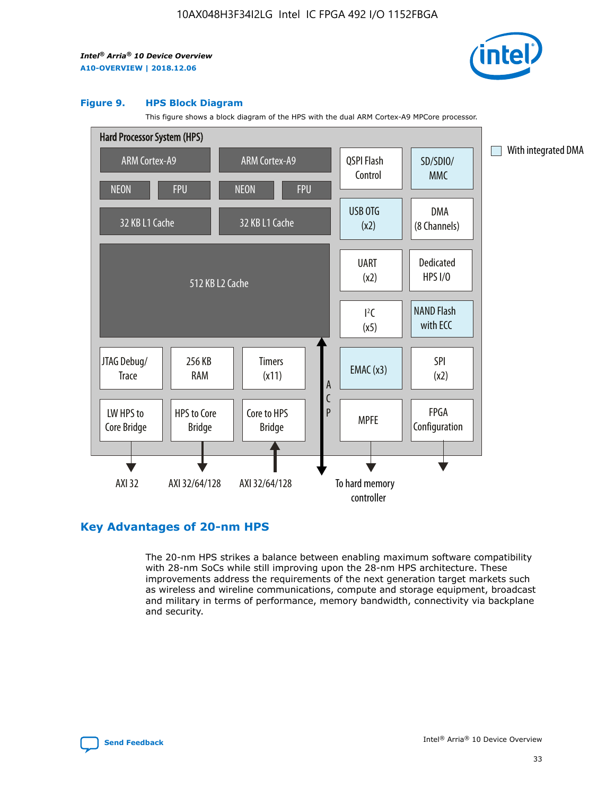

#### **Figure 9. HPS Block Diagram**

This figure shows a block diagram of the HPS with the dual ARM Cortex-A9 MPCore processor.



## **Key Advantages of 20-nm HPS**

The 20-nm HPS strikes a balance between enabling maximum software compatibility with 28-nm SoCs while still improving upon the 28-nm HPS architecture. These improvements address the requirements of the next generation target markets such as wireless and wireline communications, compute and storage equipment, broadcast and military in terms of performance, memory bandwidth, connectivity via backplane and security.

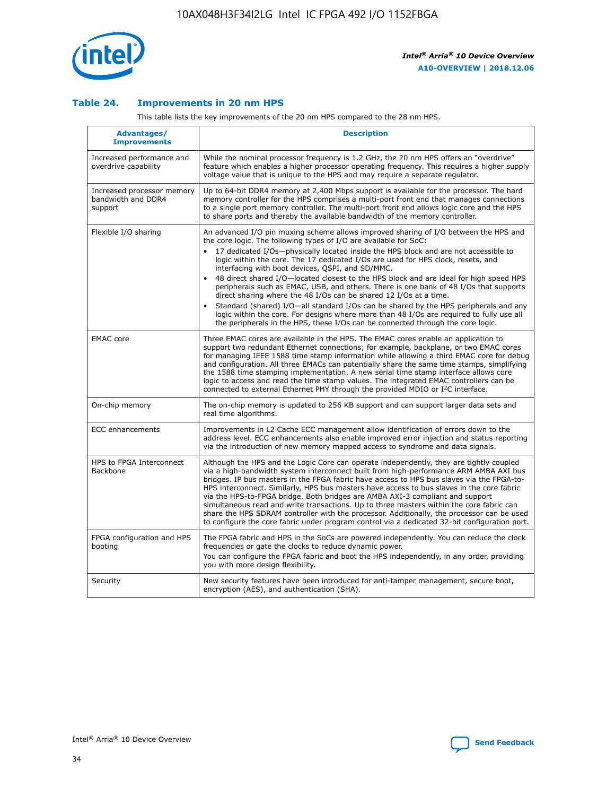

## **Table 24. Improvements in 20 nm HPS**

This table lists the key improvements of the 20 nm HPS compared to the 28 nm HPS.

| <b>Advantages/</b><br><b>Improvements</b>                   | <b>Description</b>                                                                                                                                                                                                                                                                                                                                                                                                                                                                                                                                                                                                                                                                                                                                                                                                                                                                                                      |
|-------------------------------------------------------------|-------------------------------------------------------------------------------------------------------------------------------------------------------------------------------------------------------------------------------------------------------------------------------------------------------------------------------------------------------------------------------------------------------------------------------------------------------------------------------------------------------------------------------------------------------------------------------------------------------------------------------------------------------------------------------------------------------------------------------------------------------------------------------------------------------------------------------------------------------------------------------------------------------------------------|
| Increased performance and<br>overdrive capability           | While the nominal processor frequency is 1.2 GHz, the 20 nm HPS offers an "overdrive"<br>feature which enables a higher processor operating frequency. This requires a higher supply<br>voltage value that is unique to the HPS and may require a separate regulator.                                                                                                                                                                                                                                                                                                                                                                                                                                                                                                                                                                                                                                                   |
| Increased processor memory<br>bandwidth and DDR4<br>support | Up to 64-bit DDR4 memory at 2,400 Mbps support is available for the processor. The hard<br>memory controller for the HPS comprises a multi-port front end that manages connections<br>to a single port memory controller. The multi-port front end allows logic core and the HPS<br>to share ports and thereby the available bandwidth of the memory controller.                                                                                                                                                                                                                                                                                                                                                                                                                                                                                                                                                        |
| Flexible I/O sharing                                        | An advanced I/O pin muxing scheme allows improved sharing of I/O between the HPS and<br>the core logic. The following types of I/O are available for SoC:<br>17 dedicated I/Os-physically located inside the HPS block and are not accessible to<br>logic within the core. The 17 dedicated I/Os are used for HPS clock, resets, and<br>interfacing with boot devices, QSPI, and SD/MMC.<br>48 direct shared I/O-located closest to the HPS block and are ideal for high speed HPS<br>peripherals such as EMAC, USB, and others. There is one bank of 48 I/Os that supports<br>direct sharing where the 48 I/Os can be shared 12 I/Os at a time.<br>Standard (shared) I/O-all standard I/Os can be shared by the HPS peripherals and any<br>logic within the core. For designs where more than 48 I/Os are required to fully use all<br>the peripherals in the HPS, these I/Os can be connected through the core logic. |
| <b>EMAC</b> core                                            | Three EMAC cores are available in the HPS. The EMAC cores enable an application to<br>support two redundant Ethernet connections; for example, backplane, or two EMAC cores<br>for managing IEEE 1588 time stamp information while allowing a third EMAC core for debug<br>and configuration. All three EMACs can potentially share the same time stamps, simplifying<br>the 1588 time stamping implementation. A new serial time stamp interface allows core<br>logic to access and read the time stamp values. The integrated EMAC controllers can be<br>connected to external Ethernet PHY through the provided MDIO or I <sup>2</sup> C interface.                                                                                                                                                                                                                                                                  |
| On-chip memory                                              | The on-chip memory is updated to 256 KB support and can support larger data sets and<br>real time algorithms.                                                                                                                                                                                                                                                                                                                                                                                                                                                                                                                                                                                                                                                                                                                                                                                                           |
| <b>ECC</b> enhancements                                     | Improvements in L2 Cache ECC management allow identification of errors down to the<br>address level. ECC enhancements also enable improved error injection and status reporting<br>via the introduction of new memory mapped access to syndrome and data signals.                                                                                                                                                                                                                                                                                                                                                                                                                                                                                                                                                                                                                                                       |
| HPS to FPGA Interconnect<br>Backbone                        | Although the HPS and the Logic Core can operate independently, they are tightly coupled<br>via a high-bandwidth system interconnect built from high-performance ARM AMBA AXI bus<br>bridges. IP bus masters in the FPGA fabric have access to HPS bus slaves via the FPGA-to-<br>HPS interconnect. Similarly, HPS bus masters have access to bus slaves in the core fabric<br>via the HPS-to-FPGA bridge. Both bridges are AMBA AXI-3 compliant and support<br>simultaneous read and write transactions. Up to three masters within the core fabric can<br>share the HPS SDRAM controller with the processor. Additionally, the processor can be used<br>to configure the core fabric under program control via a dedicated 32-bit configuration port.                                                                                                                                                                  |
| FPGA configuration and HPS<br>booting                       | The FPGA fabric and HPS in the SoCs are powered independently. You can reduce the clock<br>frequencies or gate the clocks to reduce dynamic power.<br>You can configure the FPGA fabric and boot the HPS independently, in any order, providing<br>you with more design flexibility.                                                                                                                                                                                                                                                                                                                                                                                                                                                                                                                                                                                                                                    |
| Security                                                    | New security features have been introduced for anti-tamper management, secure boot,<br>encryption (AES), and authentication (SHA).                                                                                                                                                                                                                                                                                                                                                                                                                                                                                                                                                                                                                                                                                                                                                                                      |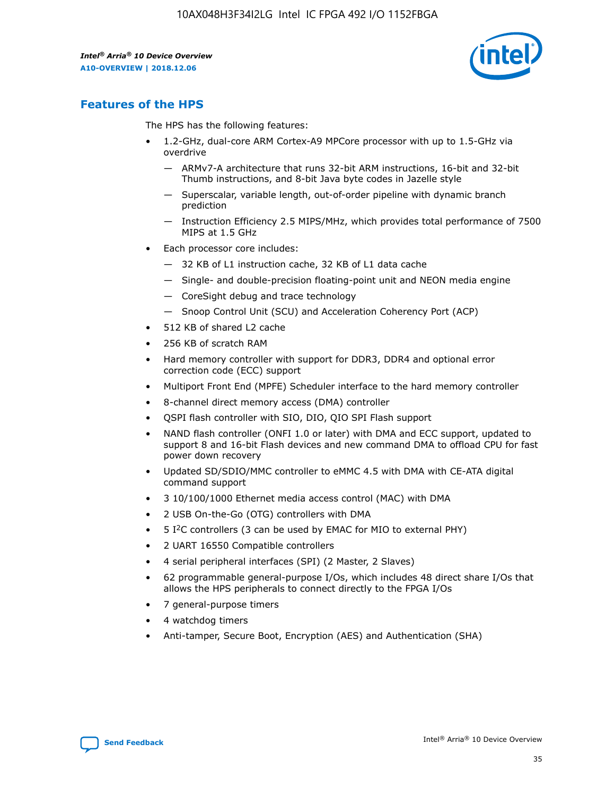

## **Features of the HPS**

The HPS has the following features:

- 1.2-GHz, dual-core ARM Cortex-A9 MPCore processor with up to 1.5-GHz via overdrive
	- ARMv7-A architecture that runs 32-bit ARM instructions, 16-bit and 32-bit Thumb instructions, and 8-bit Java byte codes in Jazelle style
	- Superscalar, variable length, out-of-order pipeline with dynamic branch prediction
	- Instruction Efficiency 2.5 MIPS/MHz, which provides total performance of 7500 MIPS at 1.5 GHz
- Each processor core includes:
	- 32 KB of L1 instruction cache, 32 KB of L1 data cache
	- Single- and double-precision floating-point unit and NEON media engine
	- CoreSight debug and trace technology
	- Snoop Control Unit (SCU) and Acceleration Coherency Port (ACP)
- 512 KB of shared L2 cache
- 256 KB of scratch RAM
- Hard memory controller with support for DDR3, DDR4 and optional error correction code (ECC) support
- Multiport Front End (MPFE) Scheduler interface to the hard memory controller
- 8-channel direct memory access (DMA) controller
- QSPI flash controller with SIO, DIO, QIO SPI Flash support
- NAND flash controller (ONFI 1.0 or later) with DMA and ECC support, updated to support 8 and 16-bit Flash devices and new command DMA to offload CPU for fast power down recovery
- Updated SD/SDIO/MMC controller to eMMC 4.5 with DMA with CE-ATA digital command support
- 3 10/100/1000 Ethernet media access control (MAC) with DMA
- 2 USB On-the-Go (OTG) controllers with DMA
- $\bullet$  5 I<sup>2</sup>C controllers (3 can be used by EMAC for MIO to external PHY)
- 2 UART 16550 Compatible controllers
- 4 serial peripheral interfaces (SPI) (2 Master, 2 Slaves)
- 62 programmable general-purpose I/Os, which includes 48 direct share I/Os that allows the HPS peripherals to connect directly to the FPGA I/Os
- 7 general-purpose timers
- 4 watchdog timers
- Anti-tamper, Secure Boot, Encryption (AES) and Authentication (SHA)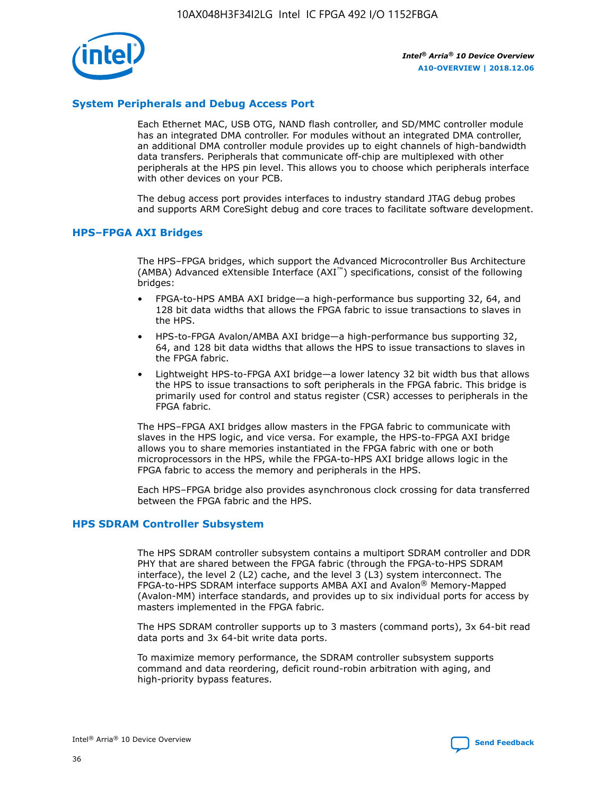

## **System Peripherals and Debug Access Port**

Each Ethernet MAC, USB OTG, NAND flash controller, and SD/MMC controller module has an integrated DMA controller. For modules without an integrated DMA controller, an additional DMA controller module provides up to eight channels of high-bandwidth data transfers. Peripherals that communicate off-chip are multiplexed with other peripherals at the HPS pin level. This allows you to choose which peripherals interface with other devices on your PCB.

The debug access port provides interfaces to industry standard JTAG debug probes and supports ARM CoreSight debug and core traces to facilitate software development.

## **HPS–FPGA AXI Bridges**

The HPS–FPGA bridges, which support the Advanced Microcontroller Bus Architecture (AMBA) Advanced eXtensible Interface (AXI™) specifications, consist of the following bridges:

- FPGA-to-HPS AMBA AXI bridge—a high-performance bus supporting 32, 64, and 128 bit data widths that allows the FPGA fabric to issue transactions to slaves in the HPS.
- HPS-to-FPGA Avalon/AMBA AXI bridge—a high-performance bus supporting 32, 64, and 128 bit data widths that allows the HPS to issue transactions to slaves in the FPGA fabric.
- Lightweight HPS-to-FPGA AXI bridge—a lower latency 32 bit width bus that allows the HPS to issue transactions to soft peripherals in the FPGA fabric. This bridge is primarily used for control and status register (CSR) accesses to peripherals in the FPGA fabric.

The HPS–FPGA AXI bridges allow masters in the FPGA fabric to communicate with slaves in the HPS logic, and vice versa. For example, the HPS-to-FPGA AXI bridge allows you to share memories instantiated in the FPGA fabric with one or both microprocessors in the HPS, while the FPGA-to-HPS AXI bridge allows logic in the FPGA fabric to access the memory and peripherals in the HPS.

Each HPS–FPGA bridge also provides asynchronous clock crossing for data transferred between the FPGA fabric and the HPS.

### **HPS SDRAM Controller Subsystem**

The HPS SDRAM controller subsystem contains a multiport SDRAM controller and DDR PHY that are shared between the FPGA fabric (through the FPGA-to-HPS SDRAM interface), the level 2 (L2) cache, and the level 3 (L3) system interconnect. The FPGA-to-HPS SDRAM interface supports AMBA AXI and Avalon® Memory-Mapped (Avalon-MM) interface standards, and provides up to six individual ports for access by masters implemented in the FPGA fabric.

The HPS SDRAM controller supports up to 3 masters (command ports), 3x 64-bit read data ports and 3x 64-bit write data ports.

To maximize memory performance, the SDRAM controller subsystem supports command and data reordering, deficit round-robin arbitration with aging, and high-priority bypass features.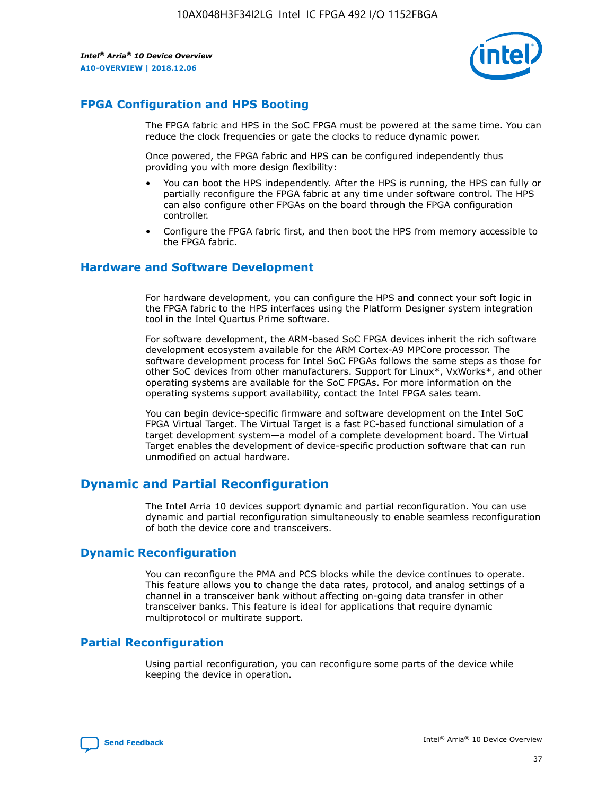

## **FPGA Configuration and HPS Booting**

The FPGA fabric and HPS in the SoC FPGA must be powered at the same time. You can reduce the clock frequencies or gate the clocks to reduce dynamic power.

Once powered, the FPGA fabric and HPS can be configured independently thus providing you with more design flexibility:

- You can boot the HPS independently. After the HPS is running, the HPS can fully or partially reconfigure the FPGA fabric at any time under software control. The HPS can also configure other FPGAs on the board through the FPGA configuration controller.
- Configure the FPGA fabric first, and then boot the HPS from memory accessible to the FPGA fabric.

## **Hardware and Software Development**

For hardware development, you can configure the HPS and connect your soft logic in the FPGA fabric to the HPS interfaces using the Platform Designer system integration tool in the Intel Quartus Prime software.

For software development, the ARM-based SoC FPGA devices inherit the rich software development ecosystem available for the ARM Cortex-A9 MPCore processor. The software development process for Intel SoC FPGAs follows the same steps as those for other SoC devices from other manufacturers. Support for Linux\*, VxWorks\*, and other operating systems are available for the SoC FPGAs. For more information on the operating systems support availability, contact the Intel FPGA sales team.

You can begin device-specific firmware and software development on the Intel SoC FPGA Virtual Target. The Virtual Target is a fast PC-based functional simulation of a target development system—a model of a complete development board. The Virtual Target enables the development of device-specific production software that can run unmodified on actual hardware.

## **Dynamic and Partial Reconfiguration**

The Intel Arria 10 devices support dynamic and partial reconfiguration. You can use dynamic and partial reconfiguration simultaneously to enable seamless reconfiguration of both the device core and transceivers.

## **Dynamic Reconfiguration**

You can reconfigure the PMA and PCS blocks while the device continues to operate. This feature allows you to change the data rates, protocol, and analog settings of a channel in a transceiver bank without affecting on-going data transfer in other transceiver banks. This feature is ideal for applications that require dynamic multiprotocol or multirate support.

## **Partial Reconfiguration**

Using partial reconfiguration, you can reconfigure some parts of the device while keeping the device in operation.

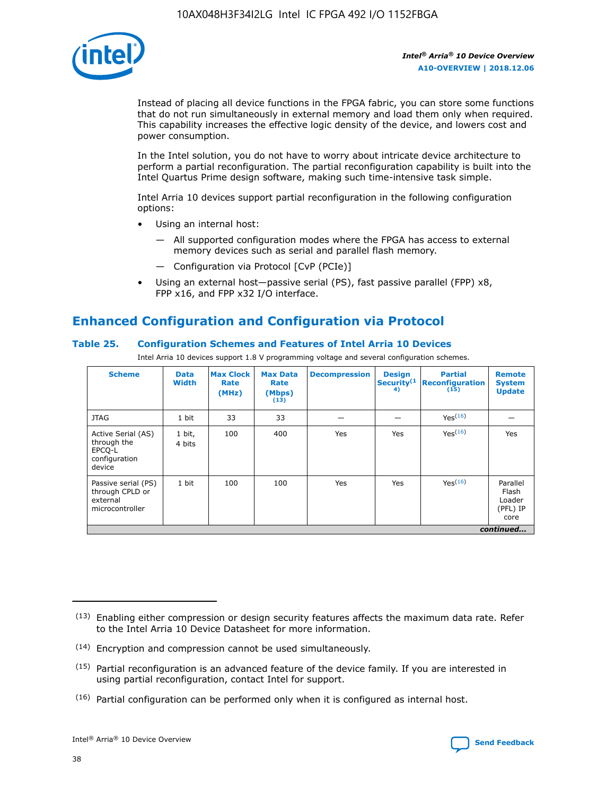

Instead of placing all device functions in the FPGA fabric, you can store some functions that do not run simultaneously in external memory and load them only when required. This capability increases the effective logic density of the device, and lowers cost and power consumption.

In the Intel solution, you do not have to worry about intricate device architecture to perform a partial reconfiguration. The partial reconfiguration capability is built into the Intel Quartus Prime design software, making such time-intensive task simple.

Intel Arria 10 devices support partial reconfiguration in the following configuration options:

- Using an internal host:
	- All supported configuration modes where the FPGA has access to external memory devices such as serial and parallel flash memory.
	- Configuration via Protocol [CvP (PCIe)]
- Using an external host—passive serial (PS), fast passive parallel (FPP) x8, FPP x16, and FPP x32 I/O interface.

# **Enhanced Configuration and Configuration via Protocol**

## **Table 25. Configuration Schemes and Features of Intel Arria 10 Devices**

Intel Arria 10 devices support 1.8 V programming voltage and several configuration schemes.

| <b>Scheme</b>                                                          | <b>Data</b><br><b>Width</b> | <b>Max Clock</b><br>Rate<br>(MHz) | <b>Max Data</b><br>Rate<br>(Mbps)<br>(13) | <b>Decompression</b> | <b>Design</b><br>Security <sup>(1</sup><br>4) | <b>Partial</b><br>Reconfiguration<br>(15) | <b>Remote</b><br><b>System</b><br><b>Update</b> |
|------------------------------------------------------------------------|-----------------------------|-----------------------------------|-------------------------------------------|----------------------|-----------------------------------------------|-------------------------------------------|-------------------------------------------------|
| <b>JTAG</b>                                                            | 1 bit                       | 33                                | 33                                        |                      |                                               | Yes <sup>(16)</sup>                       |                                                 |
| Active Serial (AS)<br>through the<br>EPCO-L<br>configuration<br>device | 1 bit,<br>4 bits            | 100                               | 400                                       | Yes                  | Yes                                           | $Y_{PS}(16)$                              | Yes                                             |
| Passive serial (PS)<br>through CPLD or<br>external<br>microcontroller  | 1 bit                       | 100                               | 100                                       | Yes                  | Yes                                           | Yes(16)                                   | Parallel<br>Flash<br>Loader<br>(PFL) IP<br>core |
|                                                                        |                             |                                   |                                           |                      |                                               |                                           | continued                                       |

<sup>(13)</sup> Enabling either compression or design security features affects the maximum data rate. Refer to the Intel Arria 10 Device Datasheet for more information.

<sup>(14)</sup> Encryption and compression cannot be used simultaneously.

 $<sup>(15)</sup>$  Partial reconfiguration is an advanced feature of the device family. If you are interested in</sup> using partial reconfiguration, contact Intel for support.

 $(16)$  Partial configuration can be performed only when it is configured as internal host.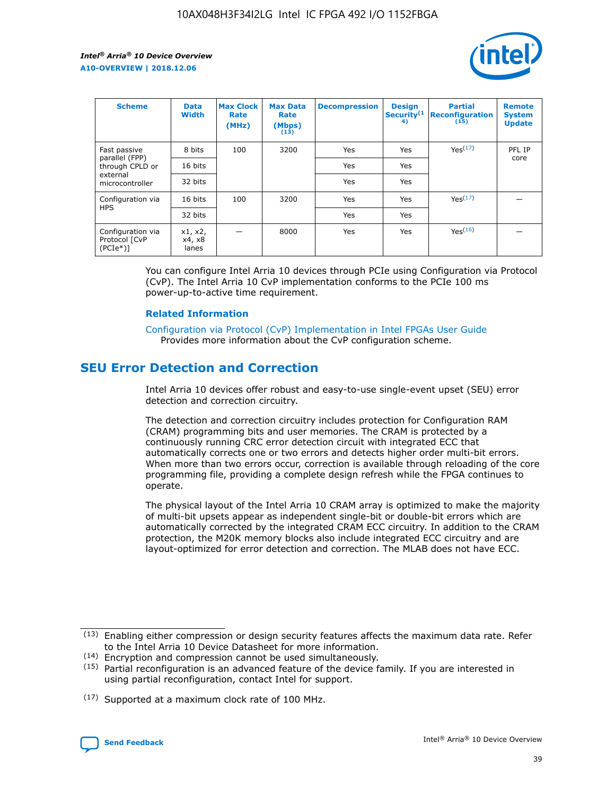

| <b>Scheme</b>                                   | <b>Data</b><br><b>Width</b> | <b>Max Clock</b><br>Rate<br>(MHz) | <b>Max Data</b><br>Rate<br>(Mbps)<br>(13) | <b>Decompression</b> | <b>Design</b><br>Security <sup>(1</sup><br>4) | <b>Partial</b><br><b>Reconfiguration</b><br>(15) | <b>Remote</b><br><b>System</b><br><b>Update</b> |
|-------------------------------------------------|-----------------------------|-----------------------------------|-------------------------------------------|----------------------|-----------------------------------------------|--------------------------------------------------|-------------------------------------------------|
| Fast passive                                    | 8 bits                      | 100                               | 3200                                      | Yes                  | Yes                                           | Yes(17)                                          | PFL IP                                          |
| parallel (FPP)<br>through CPLD or               | 16 bits                     |                                   |                                           | Yes                  | Yes                                           |                                                  | core                                            |
| external<br>microcontroller                     | 32 bits                     |                                   |                                           | Yes                  | Yes                                           |                                                  |                                                 |
| Configuration via                               | 16 bits                     | 100                               | 3200                                      | Yes                  | Yes                                           | Yes <sup>(17)</sup>                              |                                                 |
| <b>HPS</b>                                      | 32 bits                     |                                   |                                           | Yes                  | Yes                                           |                                                  |                                                 |
| Configuration via<br>Protocol [CvP<br>$(PCIe*)$ | x1, x2,<br>x4, x8<br>lanes  |                                   | 8000                                      | Yes                  | Yes                                           | Yes(16)                                          |                                                 |

You can configure Intel Arria 10 devices through PCIe using Configuration via Protocol (CvP). The Intel Arria 10 CvP implementation conforms to the PCIe 100 ms power-up-to-active time requirement.

#### **Related Information**

[Configuration via Protocol \(CvP\) Implementation in Intel FPGAs User Guide](https://www.intel.com/content/www/us/en/programmable/documentation/dsu1441819344145.html#dsu1442269728522) Provides more information about the CvP configuration scheme.

# **SEU Error Detection and Correction**

Intel Arria 10 devices offer robust and easy-to-use single-event upset (SEU) error detection and correction circuitry.

The detection and correction circuitry includes protection for Configuration RAM (CRAM) programming bits and user memories. The CRAM is protected by a continuously running CRC error detection circuit with integrated ECC that automatically corrects one or two errors and detects higher order multi-bit errors. When more than two errors occur, correction is available through reloading of the core programming file, providing a complete design refresh while the FPGA continues to operate.

The physical layout of the Intel Arria 10 CRAM array is optimized to make the majority of multi-bit upsets appear as independent single-bit or double-bit errors which are automatically corrected by the integrated CRAM ECC circuitry. In addition to the CRAM protection, the M20K memory blocks also include integrated ECC circuitry and are layout-optimized for error detection and correction. The MLAB does not have ECC.

(14) Encryption and compression cannot be used simultaneously.

<sup>(17)</sup> Supported at a maximum clock rate of 100 MHz.



 $(13)$  Enabling either compression or design security features affects the maximum data rate. Refer to the Intel Arria 10 Device Datasheet for more information.

 $(15)$  Partial reconfiguration is an advanced feature of the device family. If you are interested in using partial reconfiguration, contact Intel for support.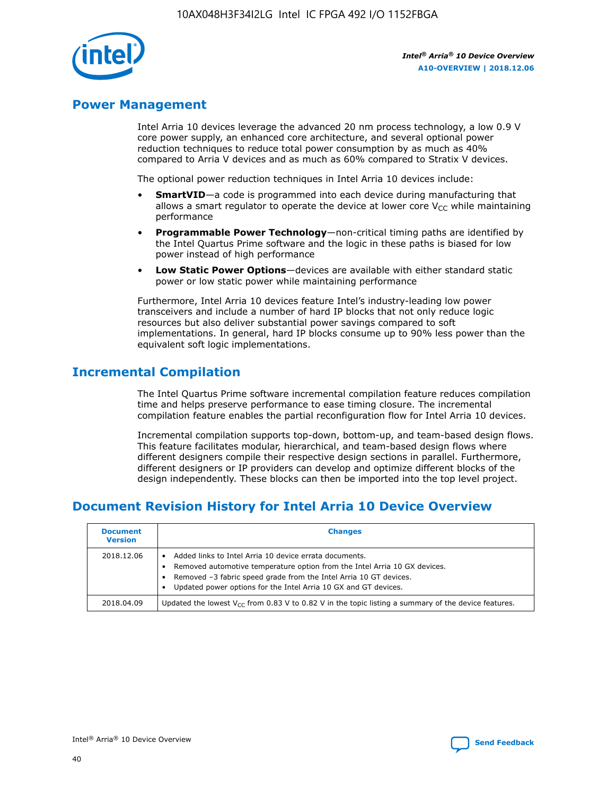

## **Power Management**

Intel Arria 10 devices leverage the advanced 20 nm process technology, a low 0.9 V core power supply, an enhanced core architecture, and several optional power reduction techniques to reduce total power consumption by as much as 40% compared to Arria V devices and as much as 60% compared to Stratix V devices.

The optional power reduction techniques in Intel Arria 10 devices include:

- **SmartVID**—a code is programmed into each device during manufacturing that allows a smart regulator to operate the device at lower core  $V_{CC}$  while maintaining performance
- **Programmable Power Technology**—non-critical timing paths are identified by the Intel Quartus Prime software and the logic in these paths is biased for low power instead of high performance
- **Low Static Power Options**—devices are available with either standard static power or low static power while maintaining performance

Furthermore, Intel Arria 10 devices feature Intel's industry-leading low power transceivers and include a number of hard IP blocks that not only reduce logic resources but also deliver substantial power savings compared to soft implementations. In general, hard IP blocks consume up to 90% less power than the equivalent soft logic implementations.

# **Incremental Compilation**

The Intel Quartus Prime software incremental compilation feature reduces compilation time and helps preserve performance to ease timing closure. The incremental compilation feature enables the partial reconfiguration flow for Intel Arria 10 devices.

Incremental compilation supports top-down, bottom-up, and team-based design flows. This feature facilitates modular, hierarchical, and team-based design flows where different designers compile their respective design sections in parallel. Furthermore, different designers or IP providers can develop and optimize different blocks of the design independently. These blocks can then be imported into the top level project.

# **Document Revision History for Intel Arria 10 Device Overview**

| <b>Document</b><br><b>Version</b> | <b>Changes</b>                                                                                                                                                                                                                                                              |
|-----------------------------------|-----------------------------------------------------------------------------------------------------------------------------------------------------------------------------------------------------------------------------------------------------------------------------|
| 2018.12.06                        | Added links to Intel Arria 10 device errata documents.<br>Removed automotive temperature option from the Intel Arria 10 GX devices.<br>Removed -3 fabric speed grade from the Intel Arria 10 GT devices.<br>Updated power options for the Intel Arria 10 GX and GT devices. |
| 2018.04.09                        | Updated the lowest $V_{CC}$ from 0.83 V to 0.82 V in the topic listing a summary of the device features.                                                                                                                                                                    |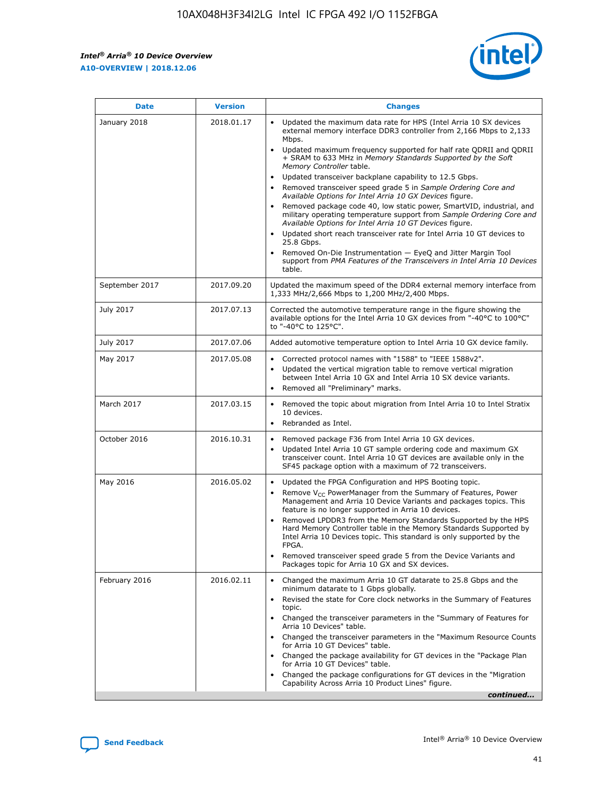

| <b>Date</b>    | <b>Version</b> | <b>Changes</b>                                                                                                                                                                                                                                                                                                                                                                                                                                                                                                                                                                                                                                                                                                                                                                                                                                                                                                                                               |
|----------------|----------------|--------------------------------------------------------------------------------------------------------------------------------------------------------------------------------------------------------------------------------------------------------------------------------------------------------------------------------------------------------------------------------------------------------------------------------------------------------------------------------------------------------------------------------------------------------------------------------------------------------------------------------------------------------------------------------------------------------------------------------------------------------------------------------------------------------------------------------------------------------------------------------------------------------------------------------------------------------------|
| January 2018   | 2018.01.17     | Updated the maximum data rate for HPS (Intel Arria 10 SX devices<br>external memory interface DDR3 controller from 2,166 Mbps to 2,133<br>Mbps.<br>Updated maximum frequency supported for half rate QDRII and QDRII<br>+ SRAM to 633 MHz in Memory Standards Supported by the Soft<br>Memory Controller table.<br>Updated transceiver backplane capability to 12.5 Gbps.<br>Removed transceiver speed grade 5 in Sample Ordering Core and<br>Available Options for Intel Arria 10 GX Devices figure.<br>Removed package code 40, low static power, SmartVID, industrial, and<br>military operating temperature support from Sample Ordering Core and<br>Available Options for Intel Arria 10 GT Devices figure.<br>Updated short reach transceiver rate for Intel Arria 10 GT devices to<br>25.8 Gbps.<br>Removed On-Die Instrumentation - EyeQ and Jitter Margin Tool<br>support from PMA Features of the Transceivers in Intel Arria 10 Devices<br>table. |
| September 2017 | 2017.09.20     | Updated the maximum speed of the DDR4 external memory interface from<br>1,333 MHz/2,666 Mbps to 1,200 MHz/2,400 Mbps.                                                                                                                                                                                                                                                                                                                                                                                                                                                                                                                                                                                                                                                                                                                                                                                                                                        |
| July 2017      | 2017.07.13     | Corrected the automotive temperature range in the figure showing the<br>available options for the Intel Arria 10 GX devices from "-40°C to 100°C"<br>to "-40°C to 125°C".                                                                                                                                                                                                                                                                                                                                                                                                                                                                                                                                                                                                                                                                                                                                                                                    |
| July 2017      | 2017.07.06     | Added automotive temperature option to Intel Arria 10 GX device family.                                                                                                                                                                                                                                                                                                                                                                                                                                                                                                                                                                                                                                                                                                                                                                                                                                                                                      |
| May 2017       | 2017.05.08     | Corrected protocol names with "1588" to "IEEE 1588v2".<br>$\bullet$<br>Updated the vertical migration table to remove vertical migration<br>$\bullet$<br>between Intel Arria 10 GX and Intel Arria 10 SX device variants.<br>Removed all "Preliminary" marks.<br>$\bullet$                                                                                                                                                                                                                                                                                                                                                                                                                                                                                                                                                                                                                                                                                   |
| March 2017     | 2017.03.15     | Removed the topic about migration from Intel Arria 10 to Intel Stratix<br>$\bullet$<br>10 devices.<br>Rebranded as Intel.<br>$\bullet$                                                                                                                                                                                                                                                                                                                                                                                                                                                                                                                                                                                                                                                                                                                                                                                                                       |
| October 2016   | 2016.10.31     | Removed package F36 from Intel Arria 10 GX devices.<br>Updated Intel Arria 10 GT sample ordering code and maximum GX<br>$\bullet$<br>transceiver count. Intel Arria 10 GT devices are available only in the<br>SF45 package option with a maximum of 72 transceivers.                                                                                                                                                                                                                                                                                                                                                                                                                                                                                                                                                                                                                                                                                        |
| May 2016       | 2016.05.02     | Updated the FPGA Configuration and HPS Booting topic.<br>$\bullet$<br>Remove V <sub>CC</sub> PowerManager from the Summary of Features, Power<br>Management and Arria 10 Device Variants and packages topics. This<br>feature is no longer supported in Arria 10 devices.<br>Removed LPDDR3 from the Memory Standards Supported by the HPS<br>Hard Memory Controller table in the Memory Standards Supported by<br>Intel Arria 10 Devices topic. This standard is only supported by the<br><b>FPGA</b><br>Removed transceiver speed grade 5 from the Device Variants and<br>Packages topic for Arria 10 GX and SX devices.                                                                                                                                                                                                                                                                                                                                   |
| February 2016  | 2016.02.11     | Changed the maximum Arria 10 GT datarate to 25.8 Gbps and the<br>$\bullet$<br>minimum datarate to 1 Gbps globally.<br>Revised the state for Core clock networks in the Summary of Features<br>$\bullet$<br>topic.<br>Changed the transceiver parameters in the "Summary of Features for<br>$\bullet$<br>Arria 10 Devices" table.<br>Changed the transceiver parameters in the "Maximum Resource Counts<br>for Arria 10 GT Devices" table.<br>Changed the package availability for GT devices in the "Package Plan<br>for Arria 10 GT Devices" table.<br>Changed the package configurations for GT devices in the "Migration"<br>Capability Across Arria 10 Product Lines" figure.<br>continued                                                                                                                                                                                                                                                               |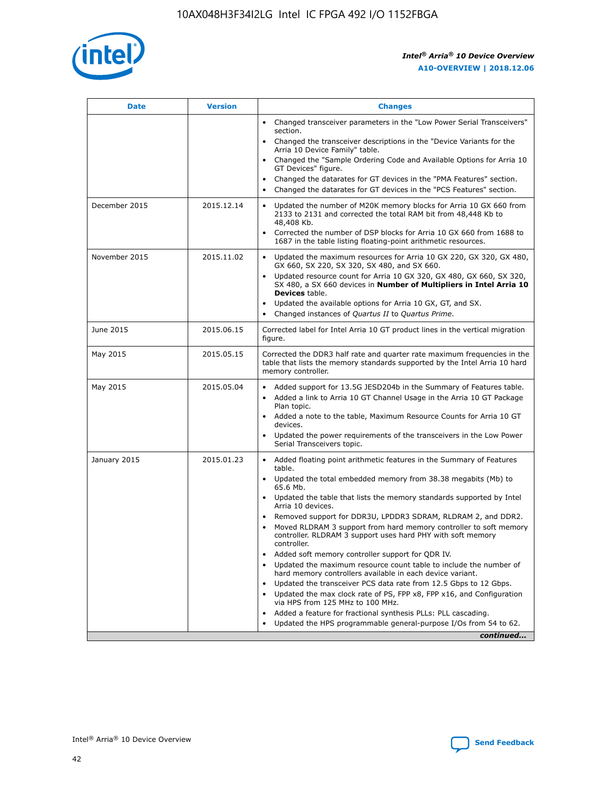

| <b>Date</b>   | <b>Version</b> | <b>Changes</b>                                                                                                                                                                   |
|---------------|----------------|----------------------------------------------------------------------------------------------------------------------------------------------------------------------------------|
|               |                | • Changed transceiver parameters in the "Low Power Serial Transceivers"<br>section.                                                                                              |
|               |                | • Changed the transceiver descriptions in the "Device Variants for the<br>Arria 10 Device Family" table.                                                                         |
|               |                | Changed the "Sample Ordering Code and Available Options for Arria 10<br>GT Devices" figure.                                                                                      |
|               |                | Changed the datarates for GT devices in the "PMA Features" section.                                                                                                              |
|               |                | Changed the datarates for GT devices in the "PCS Features" section.<br>$\bullet$                                                                                                 |
| December 2015 | 2015.12.14     | Updated the number of M20K memory blocks for Arria 10 GX 660 from<br>$\bullet$<br>2133 to 2131 and corrected the total RAM bit from 48,448 Kb to<br>48,408 Kb.                   |
|               |                | Corrected the number of DSP blocks for Arria 10 GX 660 from 1688 to<br>$\bullet$<br>1687 in the table listing floating-point arithmetic resources.                               |
| November 2015 | 2015.11.02     | Updated the maximum resources for Arria 10 GX 220, GX 320, GX 480,<br>$\bullet$<br>GX 660, SX 220, SX 320, SX 480, and SX 660.                                                   |
|               |                | Updated resource count for Arria 10 GX 320, GX 480, GX 660, SX 320,<br>$\bullet$<br>SX 480, a SX 660 devices in Number of Multipliers in Intel Arria 10<br><b>Devices</b> table. |
|               |                | Updated the available options for Arria 10 GX, GT, and SX.<br>$\bullet$                                                                                                          |
|               |                | Changed instances of Quartus II to Quartus Prime.<br>$\bullet$                                                                                                                   |
| June 2015     | 2015.06.15     | Corrected label for Intel Arria 10 GT product lines in the vertical migration<br>figure.                                                                                         |
| May 2015      | 2015.05.15     | Corrected the DDR3 half rate and quarter rate maximum frequencies in the<br>table that lists the memory standards supported by the Intel Arria 10 hard<br>memory controller.     |
| May 2015      | 2015.05.04     | • Added support for 13.5G JESD204b in the Summary of Features table.<br>• Added a link to Arria 10 GT Channel Usage in the Arria 10 GT Package<br>Plan topic.                    |
|               |                | • Added a note to the table, Maximum Resource Counts for Arria 10 GT<br>devices.                                                                                                 |
|               |                | Updated the power requirements of the transceivers in the Low Power<br>Serial Transceivers topic.                                                                                |
| January 2015  | 2015.01.23     | • Added floating point arithmetic features in the Summary of Features<br>table.                                                                                                  |
|               |                | • Updated the total embedded memory from 38.38 megabits (Mb) to<br>65.6 Mb.                                                                                                      |
|               |                | • Updated the table that lists the memory standards supported by Intel<br>Arria 10 devices.                                                                                      |
|               |                | Removed support for DDR3U, LPDDR3 SDRAM, RLDRAM 2, and DDR2.                                                                                                                     |
|               |                | Moved RLDRAM 3 support from hard memory controller to soft memory<br>controller. RLDRAM 3 support uses hard PHY with soft memory<br>controller.                                  |
|               |                | Added soft memory controller support for QDR IV.                                                                                                                                 |
|               |                | Updated the maximum resource count table to include the number of<br>hard memory controllers available in each device variant.                                                   |
|               |                | Updated the transceiver PCS data rate from 12.5 Gbps to 12 Gbps.<br>$\bullet$                                                                                                    |
|               |                | Updated the max clock rate of PS, FPP x8, FPP x16, and Configuration<br>via HPS from 125 MHz to 100 MHz.                                                                         |
|               |                | Added a feature for fractional synthesis PLLs: PLL cascading.                                                                                                                    |
|               |                | Updated the HPS programmable general-purpose I/Os from 54 to 62.                                                                                                                 |
|               |                | continued                                                                                                                                                                        |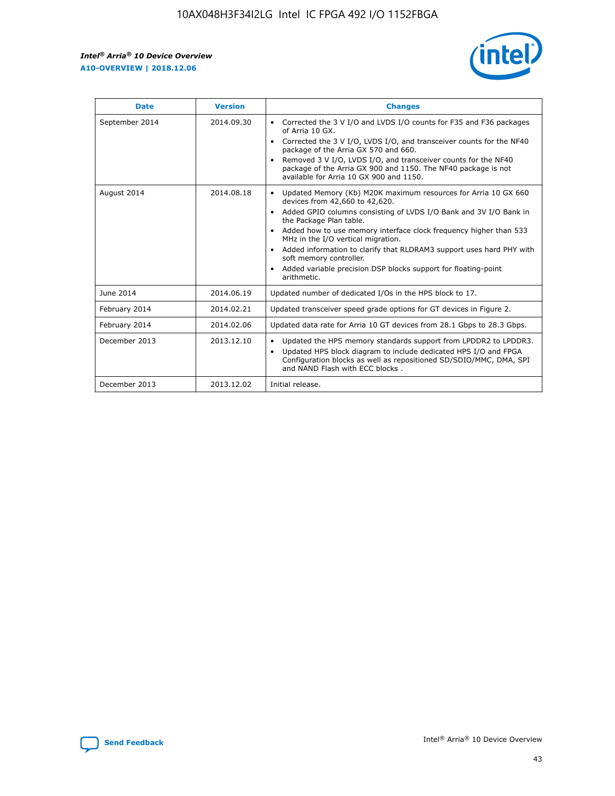r



| <b>Date</b>    | <b>Version</b> | <b>Changes</b>                                                                                                                                                                                                                                                                                                                                                                                                                                                                                                                         |
|----------------|----------------|----------------------------------------------------------------------------------------------------------------------------------------------------------------------------------------------------------------------------------------------------------------------------------------------------------------------------------------------------------------------------------------------------------------------------------------------------------------------------------------------------------------------------------------|
| September 2014 | 2014.09.30     | Corrected the 3 V I/O and LVDS I/O counts for F35 and F36 packages<br>of Arria 10 GX.<br>Corrected the 3 V I/O, LVDS I/O, and transceiver counts for the NF40<br>package of the Arria GX 570 and 660.<br>Removed 3 V I/O, LVDS I/O, and transceiver counts for the NF40<br>package of the Arria GX 900 and 1150. The NF40 package is not<br>available for Arria 10 GX 900 and 1150.                                                                                                                                                    |
| August 2014    | 2014.08.18     | Updated Memory (Kb) M20K maximum resources for Arria 10 GX 660<br>devices from 42,660 to 42,620.<br>Added GPIO columns consisting of LVDS I/O Bank and 3V I/O Bank in<br>$\bullet$<br>the Package Plan table.<br>Added how to use memory interface clock frequency higher than 533<br>$\bullet$<br>MHz in the I/O vertical migration.<br>Added information to clarify that RLDRAM3 support uses hard PHY with<br>$\bullet$<br>soft memory controller.<br>Added variable precision DSP blocks support for floating-point<br>arithmetic. |
| June 2014      | 2014.06.19     | Updated number of dedicated I/Os in the HPS block to 17.                                                                                                                                                                                                                                                                                                                                                                                                                                                                               |
| February 2014  | 2014.02.21     | Updated transceiver speed grade options for GT devices in Figure 2.                                                                                                                                                                                                                                                                                                                                                                                                                                                                    |
| February 2014  | 2014.02.06     | Updated data rate for Arria 10 GT devices from 28.1 Gbps to 28.3 Gbps.                                                                                                                                                                                                                                                                                                                                                                                                                                                                 |
| December 2013  | 2013.12.10     | Updated the HPS memory standards support from LPDDR2 to LPDDR3.<br>Updated HPS block diagram to include dedicated HPS I/O and FPGA<br>$\bullet$<br>Configuration blocks as well as repositioned SD/SDIO/MMC, DMA, SPI<br>and NAND Flash with ECC blocks.                                                                                                                                                                                                                                                                               |
| December 2013  | 2013.12.02     | Initial release.                                                                                                                                                                                                                                                                                                                                                                                                                                                                                                                       |